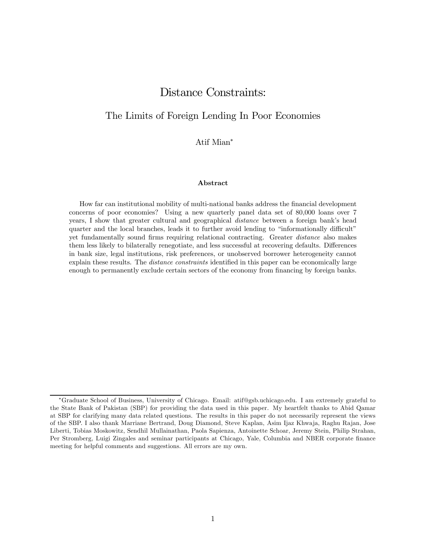# Distance Constraints:

# The Limits of Foreign Lending In Poor Economies

### Atif Mian<sup>∗</sup>

#### Abstract

How far can institutional mobility of multi-national banks address the financial development concerns of poor economies? Using a new quarterly panel data set of 80,000 loans over 7 years, I show that greater cultural and geographical distance between a foreign bank's head quarter and the local branches, leads it to further avoid lending to "informationally difficult" yet fundamentally sound firms requiring relational contracting. Greater distance also makes them less likely to bilaterally renegotiate, and less successful at recovering defaults. Differences in bank size, legal institutions, risk preferences, or unobserved borrower heterogeneity cannot explain these results. The *distance constraints* identified in this paper can be economically large enough to permanently exclude certain sectors of the economy from financing by foreign banks.

<sup>∗</sup>Graduate School of Business, University of Chicago. Email: atif@gsb.uchicago.edu. I am extremely grateful to the State Bank of Pakistan (SBP) for providing the data used in this paper. My heartfelt thanks to Abid Qamar at SBP for clarifying many data related questions. The results in this paper do not necessarily represent the views of the SBP. I also thank Marriane Bertrand, Doug Diamond, Steve Kaplan, Asim Ijaz Khwaja, Raghu Rajan, Jose Liberti, Tobias Moskowitz, Sendhil Mullainathan, Paola Sapienza, Antoinette Schoar, Jeremy Stein, Philip Strahan, Per Stromberg, Luigi Zingales and seminar participants at Chicago, Yale, Columbia and NBER corporate finance meeting for helpful comments and suggestions. All errors are my own.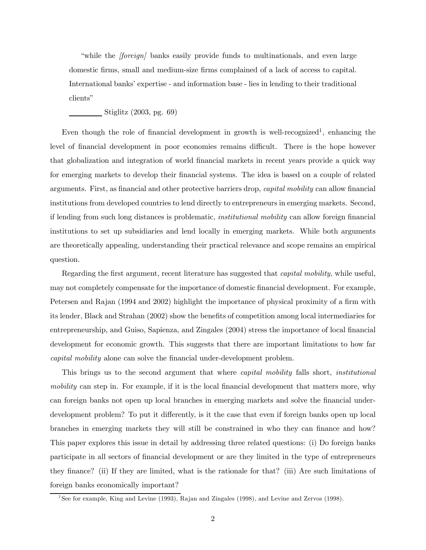"while the *[foreign]* banks easily provide funds to multinationals, and even large domestic firms, small and medium-size firms complained of a lack of access to capital. International banks' expertise - and information base - lies in lending to their traditional clients"

#### Stiglitz (2003, pg. 69)

Even though the role of financial development in growth is well-recognized<sup>1</sup>, enhancing the level of financial development in poor economies remains difficult. There is the hope however that globalization and integration of world financial markets in recent years provide a quick way for emerging markets to develop their financial systems. The idea is based on a couple of related arguments. First, as financial and other protective barriers drop, capital mobility can allow financial institutions from developed countries to lend directly to entrepreneurs in emerging markets. Second, if lending from such long distances is problematic, institutional mobility can allow foreign financial institutions to set up subsidiaries and lend locally in emerging markets. While both arguments are theoretically appealing, understanding their practical relevance and scope remains an empirical question.

Regarding the first argument, recent literature has suggested that capital mobility, while useful, may not completely compensate for the importance of domestic financial development. For example, Petersen and Rajan (1994 and 2002) highlight the importance of physical proximity of a firm with its lender, Black and Strahan (2002) show the benefits of competition among local intermediaries for entrepreneurship, and Guiso, Sapienza, and Zingales (2004) stress the importance of local financial development for economic growth. This suggests that there are important limitations to how far capital mobility alone can solve the financial under-development problem.

This brings us to the second argument that where *capital mobility* falls short, *institutional* mobility can step in. For example, if it is the local financial development that matters more, why can foreign banks not open up local branches in emerging markets and solve the financial underdevelopment problem? To put it differently, is it the case that even if foreign banks open up local branches in emerging markets they will still be constrained in who they can finance and how? This paper explores this issue in detail by addressing three related questions: (i) Do foreign banks participate in all sectors of financial development or are they limited in the type of entrepreneurs they finance? (ii) If they are limited, what is the rationale for that? (iii) Are such limitations of foreign banks economically important?

<sup>1</sup>See for example, King and Levine (1993), Rajan and Zingales (1998), and Levine and Zervos (1998).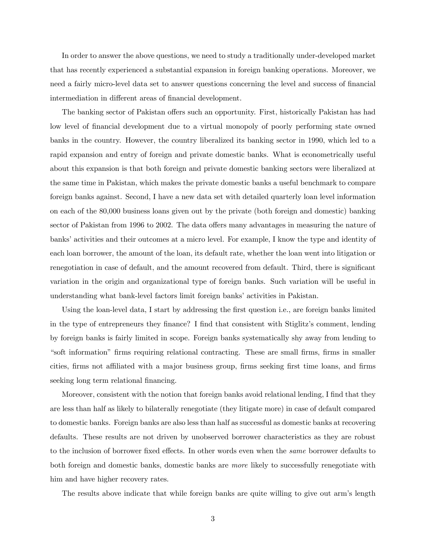In order to answer the above questions, we need to study a traditionally under-developed market that has recently experienced a substantial expansion in foreign banking operations. Moreover, we need a fairly micro-level data set to answer questions concerning the level and success of financial intermediation in different areas of financial development.

The banking sector of Pakistan offers such an opportunity. First, historically Pakistan has had low level of financial development due to a virtual monopoly of poorly performing state owned banks in the country. However, the country liberalized its banking sector in 1990, which led to a rapid expansion and entry of foreign and private domestic banks. What is econometrically useful about this expansion is that both foreign and private domestic banking sectors were liberalized at the same time in Pakistan, which makes the private domestic banks a useful benchmark to compare foreign banks against. Second, I have a new data set with detailed quarterly loan level information on each of the 80,000 business loans given out by the private (both foreign and domestic) banking sector of Pakistan from 1996 to 2002. The data offers many advantages in measuring the nature of banks' activities and their outcomes at a micro level. For example, I know the type and identity of each loan borrower, the amount of the loan, its default rate, whether the loan went into litigation or renegotiation in case of default, and the amount recovered from default. Third, there is significant variation in the origin and organizational type of foreign banks. Such variation will be useful in understanding what bank-level factors limit foreign banks' activities in Pakistan.

Using the loan-level data, I start by addressing the first question i.e., are foreign banks limited in the type of entrepreneurs they finance? I find that consistent with Stiglitz's comment, lending by foreign banks is fairly limited in scope. Foreign banks systematically shy away from lending to "soft information" firms requiring relational contracting. These are small firms, firms in smaller cities, firms not affiliated with a major business group, firms seeking first time loans, and firms seeking long term relational financing.

Moreover, consistent with the notion that foreign banks avoid relational lending, I find that they are less than half as likely to bilaterally renegotiate (they litigate more) in case of default compared to domestic banks. Foreign banks are also less than half as successful as domestic banks at recovering defaults. These results are not driven by unobserved borrower characteristics as they are robust to the inclusion of borrower fixed effects. In other words even when the same borrower defaults to both foreign and domestic banks, domestic banks are more likely to successfully renegotiate with him and have higher recovery rates.

The results above indicate that while foreign banks are quite willing to give out arm's length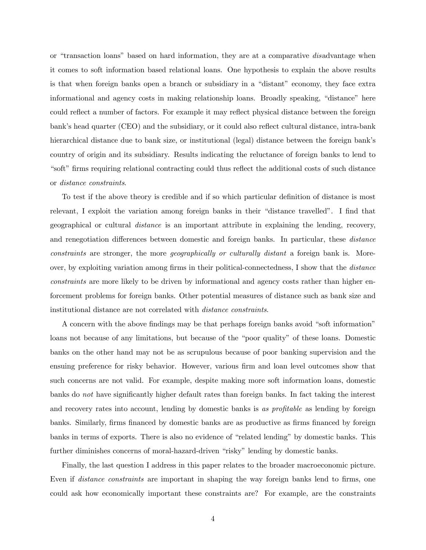or "transaction loans" based on hard information, they are at a comparative disadvantage when it comes to soft information based relational loans. One hypothesis to explain the above results is that when foreign banks open a branch or subsidiary in a "distant" economy, they face extra informational and agency costs in making relationship loans. Broadly speaking, "distance" here could reflect a number of factors. For example it may reflect physical distance between the foreign bank's head quarter (CEO) and the subsidiary, or it could also reflect cultural distance, intra-bank hierarchical distance due to bank size, or institutional (legal) distance between the foreign bank's country of origin and its subsidiary. Results indicating the reluctance of foreign banks to lend to "soft" firms requiring relational contracting could thus reflect the additional costs of such distance or distance constraints.

To test if the above theory is credible and if so which particular definition of distance is most relevant, I exploit the variation among foreign banks in their "distance travelled". I find that geographical or cultural distance is an important attribute in explaining the lending, recovery, and renegotiation differences between domestic and foreign banks. In particular, these distance constraints are stronger, the more geographically or culturally distant a foreign bank is. Moreover, by exploiting variation among firms in their political-connectedness, I show that the *distance* constraints are more likely to be driven by informational and agency costs rather than higher enforcement problems for foreign banks. Other potential measures of distance such as bank size and institutional distance are not correlated with distance constraints.

A concern with the above findings may be that perhaps foreign banks avoid "soft information" loans not because of any limitations, but because of the "poor quality" of these loans. Domestic banks on the other hand may not be as scrupulous because of poor banking supervision and the ensuing preference for risky behavior. However, various firm and loan level outcomes show that such concerns are not valid. For example, despite making more soft information loans, domestic banks do not have significantly higher default rates than foreign banks. In fact taking the interest and recovery rates into account, lending by domestic banks is as profitable as lending by foreign banks. Similarly, firms financed by domestic banks are as productive as firms financed by foreign banks in terms of exports. There is also no evidence of "related lending" by domestic banks. This further diminishes concerns of moral-hazard-driven "risky" lending by domestic banks.

Finally, the last question I address in this paper relates to the broader macroeconomic picture. Even if *distance constraints* are important in shaping the way foreign banks lend to firms, one could ask how economically important these constraints are? For example, are the constraints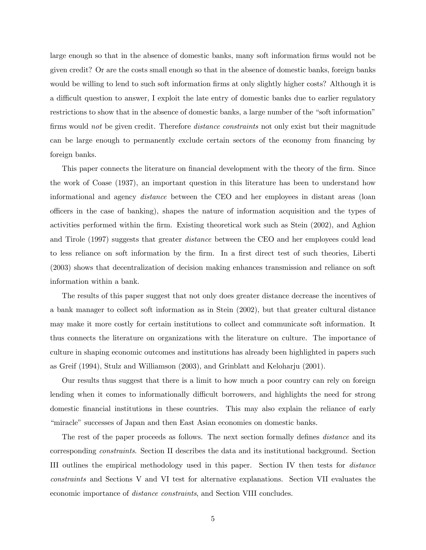large enough so that in the absence of domestic banks, many soft information firms would not be given credit? Or are the costs small enough so that in the absence of domestic banks, foreign banks would be willing to lend to such soft information firms at only slightly higher costs? Although it is a difficult question to answer, I exploit the late entry of domestic banks due to earlier regulatory restrictions to show that in the absence of domestic banks, a large number of the "soft information" firms would not be given credit. Therefore *distance constraints* not only exist but their magnitude can be large enough to permanently exclude certain sectors of the economy from financing by foreign banks.

This paper connects the literature on financial development with the theory of the firm. Since the work of Coase (1937), an important question in this literature has been to understand how informational and agency distance between the CEO and her employees in distant areas (loan officers in the case of banking), shapes the nature of information acquisition and the types of activities performed within the firm. Existing theoretical work such as Stein (2002), and Aghion and Tirole (1997) suggests that greater *distance* between the CEO and her employees could lead to less reliance on soft information by the firm. In a first direct test of such theories, Liberti (2003) shows that decentralization of decision making enhances transmission and reliance on soft information within a bank.

The results of this paper suggest that not only does greater distance decrease the incentives of a bank manager to collect soft information as in Stein (2002), but that greater cultural distance may make it more costly for certain institutions to collect and communicate soft information. It thus connects the literature on organizations with the literature on culture. The importance of culture in shaping economic outcomes and institutions has already been highlighted in papers such as Greif (1994), Stulz and Williamson (2003), and Grinblatt and Keloharju (2001).

Our results thus suggest that there is a limit to how much a poor country can rely on foreign lending when it comes to informationally difficult borrowers, and highlights the need for strong domestic financial institutions in these countries. This may also explain the reliance of early "miracle" successes of Japan and then East Asian economies on domestic banks.

The rest of the paper proceeds as follows. The next section formally defines *distance* and its corresponding constraints. Section II describes the data and its institutional background. Section III outlines the empirical methodology used in this paper. Section IV then tests for distance constraints and Sections V and VI test for alternative explanations. Section VII evaluates the economic importance of distance constraints, and Section VIII concludes.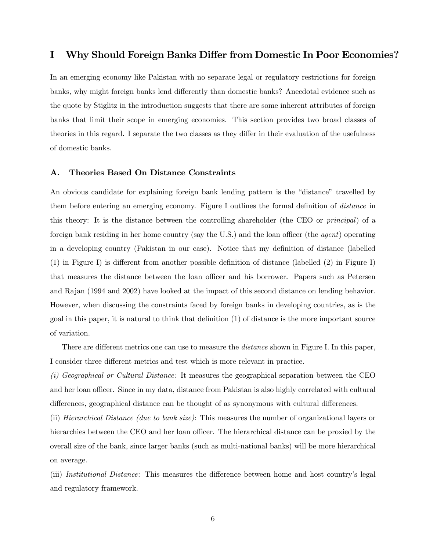### I Why Should Foreign Banks Differ from Domestic In Poor Economies?

In an emerging economy like Pakistan with no separate legal or regulatory restrictions for foreign banks, why might foreign banks lend differently than domestic banks? Anecdotal evidence such as the quote by Stiglitz in the introduction suggests that there are some inherent attributes of foreign banks that limit their scope in emerging economies. This section provides two broad classes of theories in this regard. I separate the two classes as they differ in their evaluation of the usefulness of domestic banks.

#### A. Theories Based On Distance Constraints

An obvious candidate for explaining foreign bank lending pattern is the "distance" travelled by them before entering an emerging economy. Figure I outlines the formal definition of *distance* in this theory: It is the distance between the controlling shareholder (the CEO or principal) of a foreign bank residing in her home country (say the U.S.) and the loan officer (the agent) operating in a developing country (Pakistan in our case). Notice that my definition of distance (labelled (1) in Figure I) is different from another possible definition of distance (labelled (2) in Figure I) that measures the distance between the loan officer and his borrower. Papers such as Petersen and Rajan (1994 and 2002) have looked at the impact of this second distance on lending behavior. However, when discussing the constraints faced by foreign banks in developing countries, as is the goal in this paper, it is natural to think that definition (1) of distance is the more important source of variation.

There are different metrics one can use to measure the *distance* shown in Figure I. In this paper, I consider three different metrics and test which is more relevant in practice.

(i) Geographical or Cultural Distance: It measures the geographical separation between the CEO and her loan officer. Since in my data, distance from Pakistan is also highly correlated with cultural differences, geographical distance can be thought of as synonymous with cultural differences.

(ii) Hierarchical Distance (due to bank size): This measures the number of organizational layers or hierarchies between the CEO and her loan officer. The hierarchical distance can be proxied by the overall size of the bank, since larger banks (such as multi-national banks) will be more hierarchical on average.

(iii) Institutional Distance: This measures the difference between home and host country's legal and regulatory framework.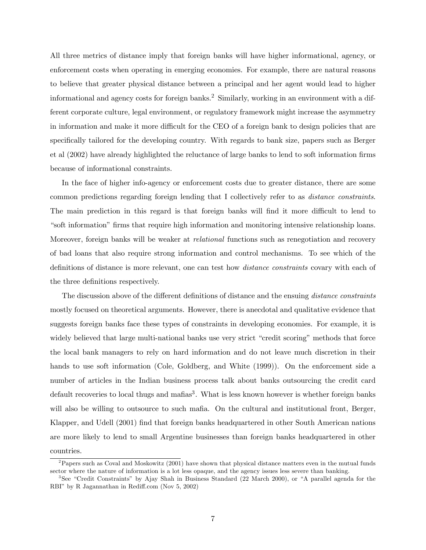All three metrics of distance imply that foreign banks will have higher informational, agency, or enforcement costs when operating in emerging economies. For example, there are natural reasons to believe that greater physical distance between a principal and her agent would lead to higher informational and agency costs for foreign banks.<sup>2</sup> Similarly, working in an environment with a different corporate culture, legal environment, or regulatory framework might increase the asymmetry in information and make it more difficult for the CEO of a foreign bank to design policies that are specifically tailored for the developing country. With regards to bank size, papers such as Berger et al (2002) have already highlighted the reluctance of large banks to lend to soft information firms because of informational constraints.

In the face of higher info-agency or enforcement costs due to greater distance, there are some common predictions regarding foreign lending that I collectively refer to as distance constraints. The main prediction in this regard is that foreign banks will find it more difficult to lend to "soft information" firms that require high information and monitoring intensive relationship loans. Moreover, foreign banks will be weaker at *relational* functions such as renegotiation and recovery of bad loans that also require strong information and control mechanisms. To see which of the definitions of distance is more relevant, one can test how distance constraints covary with each of the three definitions respectively.

The discussion above of the different definitions of distance and the ensuing *distance constraints* mostly focused on theoretical arguments. However, there is anecdotal and qualitative evidence that suggests foreign banks face these types of constraints in developing economies. For example, it is widely believed that large multi-national banks use very strict "credit scoring" methods that force the local bank managers to rely on hard information and do not leave much discretion in their hands to use soft information (Cole, Goldberg, and White (1999)). On the enforcement side a number of articles in the Indian business process talk about banks outsourcing the credit card default recoveries to local thugs and mafias<sup>3</sup>. What is less known however is whether foreign banks will also be willing to outsource to such mafia. On the cultural and institutional front, Berger, Klapper, and Udell (2001) find that foreign banks headquartered in other South American nations are more likely to lend to small Argentine businesses than foreign banks headquartered in other countries.

<sup>&</sup>lt;sup>2</sup>Papers such as Coval and Moskowitz (2001) have shown that physical distance matters even in the mutual funds sector where the nature of information is a lot less opaque, and the agency issues less severe than banking.

<sup>3</sup>See "Credit Constraints" by Ajay Shah in Business Standard (22 March 2000), or "A parallel agenda for the RBI" by R Jagannathan in Rediff.com (Nov 5, 2002)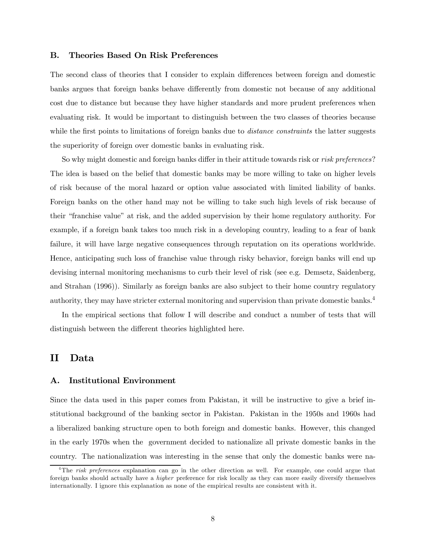#### B. Theories Based On Risk Preferences

The second class of theories that I consider to explain differences between foreign and domestic banks argues that foreign banks behave differently from domestic not because of any additional cost due to distance but because they have higher standards and more prudent preferences when evaluating risk. It would be important to distinguish between the two classes of theories because while the first points to limitations of foreign banks due to *distance constraints* the latter suggests the superiority of foreign over domestic banks in evaluating risk.

So why might domestic and foreign banks differ in their attitude towards risk or risk preferences? The idea is based on the belief that domestic banks may be more willing to take on higher levels of risk because of the moral hazard or option value associated with limited liability of banks. Foreign banks on the other hand may not be willing to take such high levels of risk because of their "franchise value" at risk, and the added supervision by their home regulatory authority. For example, if a foreign bank takes too much risk in a developing country, leading to a fear of bank failure, it will have large negative consequences through reputation on its operations worldwide. Hence, anticipating such loss of franchise value through risky behavior, foreign banks will end up devising internal monitoring mechanisms to curb their level of risk (see e.g. Demsetz, Saidenberg, and Strahan (1996)). Similarly as foreign banks are also subject to their home country regulatory authority, they may have stricter external monitoring and supervision than private domestic banks.<sup>4</sup>

In the empirical sections that follow I will describe and conduct a number of tests that will distinguish between the different theories highlighted here.

### II Data

#### A. Institutional Environment

Since the data used in this paper comes from Pakistan, it will be instructive to give a brief institutional background of the banking sector in Pakistan. Pakistan in the 1950s and 1960s had a liberalized banking structure open to both foreign and domestic banks. However, this changed in the early 1970s when the government decided to nationalize all private domestic banks in the country. The nationalization was interesting in the sense that only the domestic banks were na-

<sup>&</sup>lt;sup>4</sup>The risk preferences explanation can go in the other direction as well. For example, one could argue that foreign banks should actually have a *higher* preference for risk locally as they can more easily diversify themselves internationally. I ignore this explanation as none of the empirical results are consistent with it.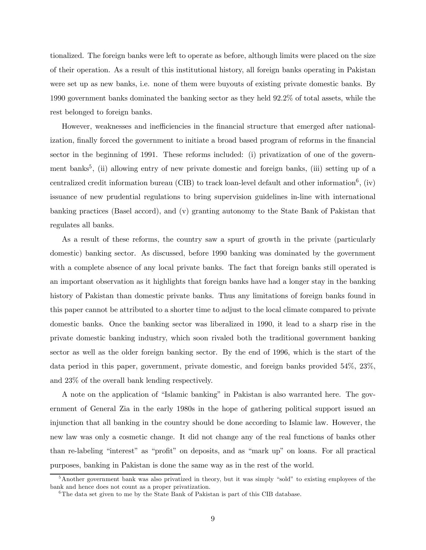tionalized. The foreign banks were left to operate as before, although limits were placed on the size of their operation. As a result of this institutional history, all foreign banks operating in Pakistan were set up as new banks, i.e. none of them were buyouts of existing private domestic banks. By 1990 government banks dominated the banking sector as they held 92.2% of total assets, while the rest belonged to foreign banks.

However, weaknesses and inefficiencies in the financial structure that emerged after nationalization, finally forced the government to initiate a broad based program of reforms in the financial sector in the beginning of 1991. These reforms included: (i) privatization of one of the government banks<sup>5</sup>, (ii) allowing entry of new private domestic and foreign banks, (iii) setting up of a centralized credit information bureau (CIB) to track loan-level default and other information<sup>6</sup>, (iv) issuance of new prudential regulations to bring supervision guidelines in-line with international banking practices (Basel accord), and (v) granting autonomy to the State Bank of Pakistan that regulates all banks.

As a result of these reforms, the country saw a spurt of growth in the private (particularly domestic) banking sector. As discussed, before 1990 banking was dominated by the government with a complete absence of any local private banks. The fact that foreign banks still operated is an important observation as it highlights that foreign banks have had a longer stay in the banking history of Pakistan than domestic private banks. Thus any limitations of foreign banks found in this paper cannot be attributed to a shorter time to adjust to the local climate compared to private domestic banks. Once the banking sector was liberalized in 1990, it lead to a sharp rise in the private domestic banking industry, which soon rivaled both the traditional government banking sector as well as the older foreign banking sector. By the end of 1996, which is the start of the data period in this paper, government, private domestic, and foreign banks provided 54%, 23%, and 23% of the overall bank lending respectively.

A note on the application of "Islamic banking" in Pakistan is also warranted here. The government of General Zia in the early 1980s in the hope of gathering political support issued an injunction that all banking in the country should be done according to Islamic law. However, the new law was only a cosmetic change. It did not change any of the real functions of banks other than re-labeling "interest" as "profit" on deposits, and as "mark up" on loans. For all practical purposes, banking in Pakistan is done the same way as in the rest of the world.

<sup>&</sup>lt;sup>5</sup>Another government bank was also privatized in theory, but it was simply "sold" to existing employees of the bank and hence does not count as a proper privatization.

<sup>&</sup>lt;sup>6</sup>The data set given to me by the State Bank of Pakistan is part of this CIB database.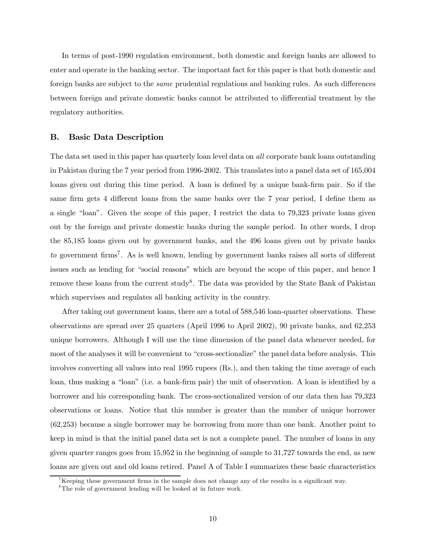In terms of post-1990 regulation environment, both domestic and foreign banks are allowed to enter and operate in the banking sector. The important fact for this paper is that both domestic and foreign banks are subject to the *same* prudential regulations and banking rules. As such differences between foreign and private domestic banks cannot be attributed to differential treatment by the regulatory authorities.

#### B. Basic Data Description

The data set used in this paper has quarterly loan level data on all corporate bank loans outstanding in Pakistan during the 7 year period from 1996-2002. This translates into a panel data set of 165,004 loans given out during this time period. A loan is defined by a unique bank-firm pair. So if the same firm gets 4 different loans from the same banks over the 7 year period, I define them as a single "loan". Given the scope of this paper, I restrict the data to 79,323 private loans given out by the foreign and private domestic banks during the sample period. In other words, I drop the 85,185 loans given out by government banks, and the 496 loans given out by private banks to government firms<sup>7</sup>. As is well known, lending by government banks raises all sorts of different issues such as lending for "social reasons" which are beyond the scope of this paper, and hence I remove these loans from the current study<sup>8</sup>. The data was provided by the State Bank of Pakistan which supervises and regulates all banking activity in the country.

After taking out government loans, there are a total of 588,546 loan-quarter observations. These observations are spread over 25 quarters (April 1996 to April 2002), 90 private banks, and 62,253 unique borrowers. Although I will use the time dimension of the panel data whenever needed, for most of the analyses it will be convenient to "cross-sectionalize" the panel data before analysis. This involves converting all values into real 1995 rupees (Rs.), and then taking the time average of each loan, thus making a "loan" (i.e. a bank-firm pair) the unit of observation. A loan is identified by a borrower and his corresponding bank. The cross-sectionalized version of our data then has 79,323 observations or loans. Notice that this number is greater than the number of unique borrower (62,253) because a single borrower may be borrowing from more than one bank. Another point to keep in mind is that the initial panel data set is not a complete panel. The number of loans in any given quarter ranges goes from 15,952 in the beginning of sample to 31,727 towards the end, as new loans are given out and old loans retired. Panel A of Table I summarizes these basic characteristics

<sup>7</sup>Keeping these government firms in the sample does not change any of the results in a significant way.

<sup>8</sup>The role of government lending will be looked at in future work.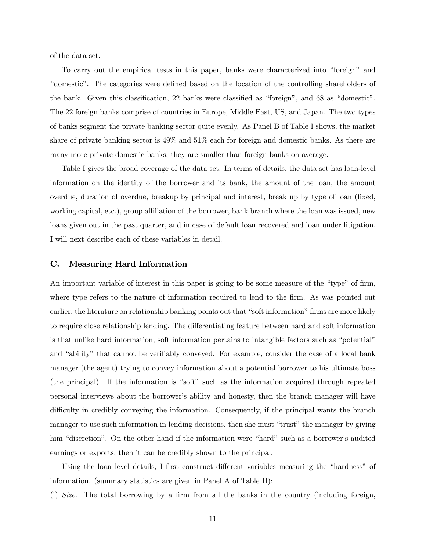of the data set.

To carry out the empirical tests in this paper, banks were characterized into "foreign" and "domestic". The categories were defined based on the location of the controlling shareholders of the bank. Given this classification, 22 banks were classified as "foreign", and 68 as "domestic". The 22 foreign banks comprise of countries in Europe, Middle East, US, and Japan. The two types of banks segment the private banking sector quite evenly. As Panel B of Table I shows, the market share of private banking sector is 49% and 51% each for foreign and domestic banks. As there are many more private domestic banks, they are smaller than foreign banks on average.

Table I gives the broad coverage of the data set. In terms of details, the data set has loan-level information on the identity of the borrower and its bank, the amount of the loan, the amount overdue, duration of overdue, breakup by principal and interest, break up by type of loan (fixed, working capital, etc.), group affiliation of the borrower, bank branch where the loan was issued, new loans given out in the past quarter, and in case of default loan recovered and loan under litigation. I will next describe each of these variables in detail.

#### C. Measuring Hard Information

An important variable of interest in this paper is going to be some measure of the "type" of firm, where type refers to the nature of information required to lend to the firm. As was pointed out earlier, the literature on relationship banking points out that "soft information" firms are more likely to require close relationship lending. The differentiating feature between hard and soft information is that unlike hard information, soft information pertains to intangible factors such as "potential" and "ability" that cannot be verifiably conveyed. For example, consider the case of a local bank manager (the agent) trying to convey information about a potential borrower to his ultimate boss (the principal). If the information is "soft" such as the information acquired through repeated personal interviews about the borrower's ability and honesty, then the branch manager will have difficulty in credibly conveying the information. Consequently, if the principal wants the branch manager to use such information in lending decisions, then she must "trust" the manager by giving him "discretion". On the other hand if the information were "hard" such as a borrower's audited earnings or exports, then it can be credibly shown to the principal.

Using the loan level details, I first construct different variables measuring the "hardness" of information. (summary statistics are given in Panel A of Table II):

(i) Size. The total borrowing by a firm from all the banks in the country (including foreign,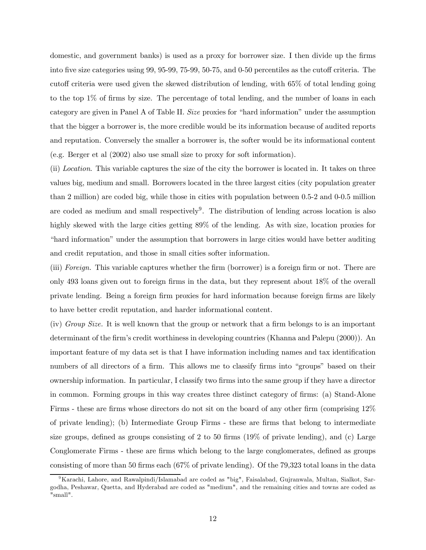domestic, and government banks) is used as a proxy for borrower size. I then divide up the firms into five size categories using 99, 95-99, 75-99, 50-75, and 0-50 percentiles as the cutoff criteria. The cutoff criteria were used given the skewed distribution of lending, with 65% of total lending going to the top 1% of firms by size. The percentage of total lending, and the number of loans in each category are given in Panel A of Table II. Size proxies for "hard information" under the assumption that the bigger a borrower is, the more credible would be its information because of audited reports and reputation. Conversely the smaller a borrower is, the softer would be its informational content (e.g. Berger et al (2002) also use small size to proxy for soft information).

(ii) Location. This variable captures the size of the city the borrower is located in. It takes on three values big, medium and small. Borrowers located in the three largest cities (city population greater than 2 million) are coded big, while those in cities with population between 0.5-2 and 0-0.5 million are coded as medium and small respectively<sup>9</sup>. The distribution of lending across location is also highly skewed with the large cities getting 89% of the lending. As with size, location proxies for "hard information" under the assumption that borrowers in large cities would have better auditing and credit reputation, and those in small cities softer information.

(iii) Foreign. This variable captures whether the firm (borrower) is a foreign firm or not. There are only 493 loans given out to foreign firms in the data, but they represent about 18% of the overall private lending. Being a foreign firm proxies for hard information because foreign firms are likely to have better credit reputation, and harder informational content.

(iv) Group Size. It is well known that the group or network that a firm belongs to is an important determinant of the firm's credit worthiness in developing countries (Khanna and Palepu (2000)). An important feature of my data set is that I have information including names and tax identification numbers of all directors of a firm. This allows me to classify firms into "groups" based on their ownership information. In particular, I classify two firms into the same group if they have a director in common. Forming groups in this way creates three distinct category of firms: (a) Stand-Alone Firms - these are firms whose directors do not sit on the board of any other firm (comprising 12% of private lending); (b) Intermediate Group Firms - these are firms that belong to intermediate size groups, defined as groups consisting of 2 to 50 firms (19% of private lending), and (c) Large Conglomerate Firms - these are firms which belong to the large conglomerates, defined as groups consisting of more than 50 firms each (67% of private lending). Of the 79,323 total loans in the data

<sup>9</sup>Karachi, Lahore, and Rawalpindi/Islamabad are coded as "big", Faisalabad, Gujranwala, Multan, Sialkot, Sargodha, Peshawar, Quetta, and Hyderabad are coded as "medium", and the remaining cities and towns are coded as "small".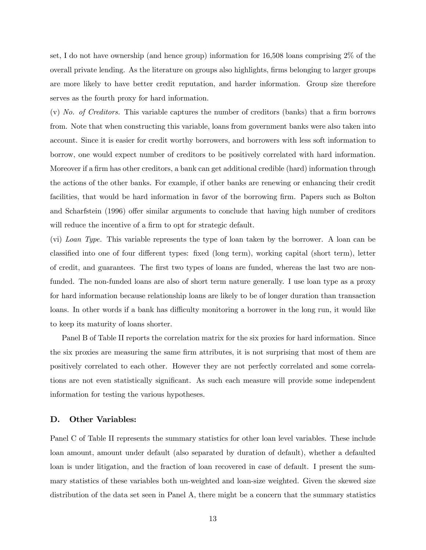set, I do not have ownership (and hence group) information for 16,508 loans comprising 2% of the overall private lending. As the literature on groups also highlights, firms belonging to larger groups are more likely to have better credit reputation, and harder information. Group size therefore serves as the fourth proxy for hard information.

(v) No. of Creditors. This variable captures the number of creditors (banks) that a firm borrows from. Note that when constructing this variable, loans from government banks were also taken into account. Since it is easier for credit worthy borrowers, and borrowers with less soft information to borrow, one would expect number of creditors to be positively correlated with hard information. Moreover if a firm has other creditors, a bank can get additional credible (hard) information through the actions of the other banks. For example, if other banks are renewing or enhancing their credit facilities, that would be hard information in favor of the borrowing firm. Papers such as Bolton and Scharfstein (1996) offer similar arguments to conclude that having high number of creditors will reduce the incentive of a firm to opt for strategic default.

(vi) Loan Type. This variable represents the type of loan taken by the borrower. A loan can be classified into one of four different types: fixed (long term), working capital (short term), letter of credit, and guarantees. The first two types of loans are funded, whereas the last two are nonfunded. The non-funded loans are also of short term nature generally. I use loan type as a proxy for hard information because relationship loans are likely to be of longer duration than transaction loans. In other words if a bank has difficulty monitoring a borrower in the long run, it would like to keep its maturity of loans shorter.

Panel B of Table II reports the correlation matrix for the six proxies for hard information. Since the six proxies are measuring the same firm attributes, it is not surprising that most of them are positively correlated to each other. However they are not perfectly correlated and some correlations are not even statistically significant. As such each measure will provide some independent information for testing the various hypotheses.

#### D. Other Variables:

Panel C of Table II represents the summary statistics for other loan level variables. These include loan amount, amount under default (also separated by duration of default), whether a defaulted loan is under litigation, and the fraction of loan recovered in case of default. I present the summary statistics of these variables both un-weighted and loan-size weighted. Given the skewed size distribution of the data set seen in Panel A, there might be a concern that the summary statistics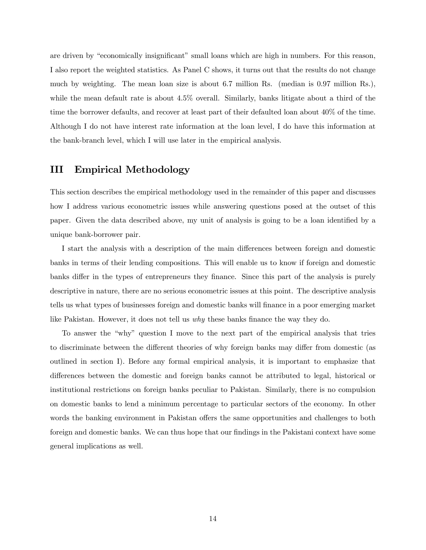are driven by "economically insignificant" small loans which are high in numbers. For this reason, I also report the weighted statistics. As Panel C shows, it turns out that the results do not change much by weighting. The mean loan size is about 6.7 million Rs. (median is 0.97 million Rs.), while the mean default rate is about  $4.5\%$  overall. Similarly, banks litigate about a third of the time the borrower defaults, and recover at least part of their defaulted loan about 40% of the time. Although I do not have interest rate information at the loan level, I do have this information at the bank-branch level, which I will use later in the empirical analysis.

### III Empirical Methodology

This section describes the empirical methodology used in the remainder of this paper and discusses how I address various econometric issues while answering questions posed at the outset of this paper. Given the data described above, my unit of analysis is going to be a loan identified by a unique bank-borrower pair.

I start the analysis with a description of the main differences between foreign and domestic banks in terms of their lending compositions. This will enable us to know if foreign and domestic banks differ in the types of entrepreneurs they finance. Since this part of the analysis is purely descriptive in nature, there are no serious econometric issues at this point. The descriptive analysis tells us what types of businesses foreign and domestic banks will finance in a poor emerging market like Pakistan. However, it does not tell us why these banks finance the way they do.

To answer the "why" question I move to the next part of the empirical analysis that tries to discriminate between the different theories of why foreign banks may differ from domestic (as outlined in section I). Before any formal empirical analysis, it is important to emphasize that differences between the domestic and foreign banks cannot be attributed to legal, historical or institutional restrictions on foreign banks peculiar to Pakistan. Similarly, there is no compulsion on domestic banks to lend a minimum percentage to particular sectors of the economy. In other words the banking environment in Pakistan offers the same opportunities and challenges to both foreign and domestic banks. We can thus hope that our findings in the Pakistani context have some general implications as well.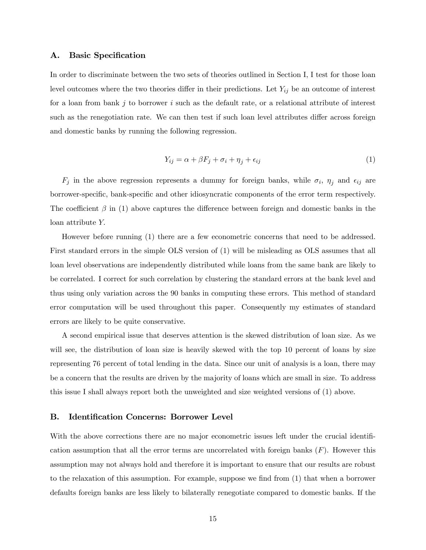#### A. Basic Specification

In order to discriminate between the two sets of theories outlined in Section I, I test for those loan level outcomes where the two theories differ in their predictions. Let  $Y_{ij}$  be an outcome of interest for a loan from bank  $j$  to borrower  $i$  such as the default rate, or a relational attribute of interest such as the renegotiation rate. We can then test if such loan level attributes differ across foreign and domestic banks by running the following regression.

$$
Y_{ij} = \alpha + \beta F_j + \sigma_i + \eta_j + \epsilon_{ij}
$$
\n<sup>(1)</sup>

 $F_j$  in the above regression represents a dummy for foreign banks, while  $\sigma_i$ ,  $\eta_j$  and  $\epsilon_{ij}$  are borrower-specific, bank-specific and other idiosyncratic components of the error term respectively. The coefficient  $\beta$  in (1) above captures the difference between foreign and domestic banks in the loan attribute Y.

However before running (1) there are a few econometric concerns that need to be addressed. First standard errors in the simple OLS version of (1) will be misleading as OLS assumes that all loan level observations are independently distributed while loans from the same bank are likely to be correlated. I correct for such correlation by clustering the standard errors at the bank level and thus using only variation across the 90 banks in computing these errors. This method of standard error computation will be used throughout this paper. Consequently my estimates of standard errors are likely to be quite conservative.

A second empirical issue that deserves attention is the skewed distribution of loan size. As we will see, the distribution of loan size is heavily skewed with the top 10 percent of loans by size representing 76 percent of total lending in the data. Since our unit of analysis is a loan, there may be a concern that the results are driven by the majority of loans which are small in size. To address this issue I shall always report both the unweighted and size weighted versions of (1) above.

#### B. Identification Concerns: Borrower Level

With the above corrections there are no major econometric issues left under the crucial identification assumption that all the error terms are uncorrelated with foreign banks  $(F)$ . However this assumption may not always hold and therefore it is important to ensure that our results are robust to the relaxation of this assumption. For example, suppose we find from (1) that when a borrower defaults foreign banks are less likely to bilaterally renegotiate compared to domestic banks. If the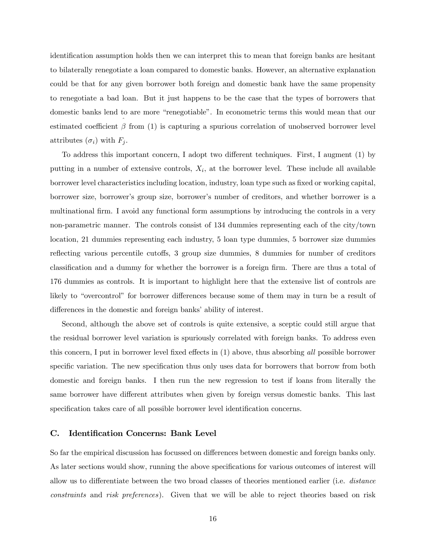identification assumption holds then we can interpret this to mean that foreign banks are hesitant to bilaterally renegotiate a loan compared to domestic banks. However, an alternative explanation could be that for any given borrower both foreign and domestic bank have the same propensity to renegotiate a bad loan. But it just happens to be the case that the types of borrowers that domestic banks lend to are more "renegotiable". In econometric terms this would mean that our estimated coefficient  $\hat{\beta}$  from (1) is capturing a spurious correlation of unobserved borrower level attributes  $(\sigma_i)$  with  $F_j$ .

To address this important concern, I adopt two different techniques. First, I augment (1) by putting in a number of extensive controls,  $X_i$ , at the borrower level. These include all available borrower level characteristics including location, industry, loan type such as fixed or working capital, borrower size, borrower's group size, borrower's number of creditors, and whether borrower is a multinational firm. I avoid any functional form assumptions by introducing the controls in a very non-parametric manner. The controls consist of 134 dummies representing each of the city/town location, 21 dummies representing each industry, 5 loan type dummies, 5 borrower size dummies reflecting various percentile cutoffs, 3 group size dummies, 8 dummies for number of creditors classification and a dummy for whether the borrower is a foreign firm. There are thus a total of 176 dummies as controls. It is important to highlight here that the extensive list of controls are likely to "overcontrol" for borrower differences because some of them may in turn be a result of differences in the domestic and foreign banks' ability of interest.

Second, although the above set of controls is quite extensive, a sceptic could still argue that the residual borrower level variation is spuriously correlated with foreign banks. To address even this concern, I put in borrower level fixed effects in (1) above, thus absorbing all possible borrower specific variation. The new specification thus only uses data for borrowers that borrow from both domestic and foreign banks. I then run the new regression to test if loans from literally the same borrower have different attributes when given by foreign versus domestic banks. This last specification takes care of all possible borrower level identification concerns.

#### C. Identification Concerns: Bank Level

So far the empirical discussion has focussed on differences between domestic and foreign banks only. As later sections would show, running the above specifications for various outcomes of interest will allow us to differentiate between the two broad classes of theories mentioned earlier (i.e. distance constraints and risk preferences). Given that we will be able to reject theories based on risk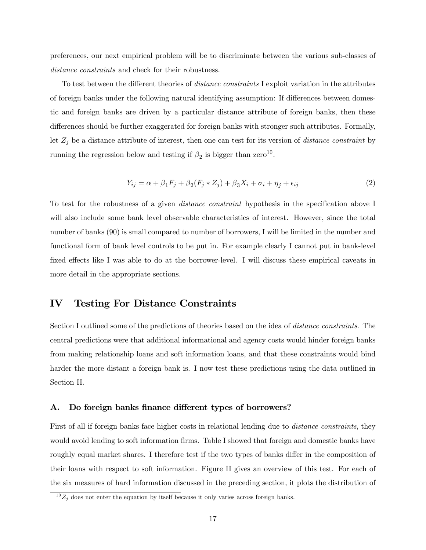preferences, our next empirical problem will be to discriminate between the various sub-classes of distance constraints and check for their robustness.

To test between the different theories of distance constraints I exploit variation in the attributes of foreign banks under the following natural identifying assumption: If differences between domestic and foreign banks are driven by a particular distance attribute of foreign banks, then these differences should be further exaggerated for foreign banks with stronger such attributes. Formally, let  $Z_j$  be a distance attribute of interest, then one can test for its version of *distance constraint* by running the regression below and testing if  $\beta_2$  is bigger than zero<sup>10</sup>.

$$
Y_{ij} = \alpha + \beta_1 F_j + \beta_2 (F_j * Z_j) + \beta_3 X_i + \sigma_i + \eta_j + \epsilon_{ij}
$$
\n<sup>(2)</sup>

To test for the robustness of a given *distance constraint* hypothesis in the specification above I will also include some bank level observable characteristics of interest. However, since the total number of banks (90) is small compared to number of borrowers, I will be limited in the number and functional form of bank level controls to be put in. For example clearly I cannot put in bank-level fixed effects like I was able to do at the borrower-level. I will discuss these empirical caveats in more detail in the appropriate sections.

### IV Testing For Distance Constraints

Section I outlined some of the predictions of theories based on the idea of distance constraints. The central predictions were that additional informational and agency costs would hinder foreign banks from making relationship loans and soft information loans, and that these constraints would bind harder the more distant a foreign bank is. I now test these predictions using the data outlined in Section II.

#### A. Do foreign banks finance different types of borrowers?

First of all if foreign banks face higher costs in relational lending due to distance constraints, they would avoid lending to soft information firms. Table I showed that foreign and domestic banks have roughly equal market shares. I therefore test if the two types of banks differ in the composition of their loans with respect to soft information. Figure II gives an overview of this test. For each of the six measures of hard information discussed in the preceding section, it plots the distribution of

 $10 Z_j$  does not enter the equation by itself because it only varies across foreign banks.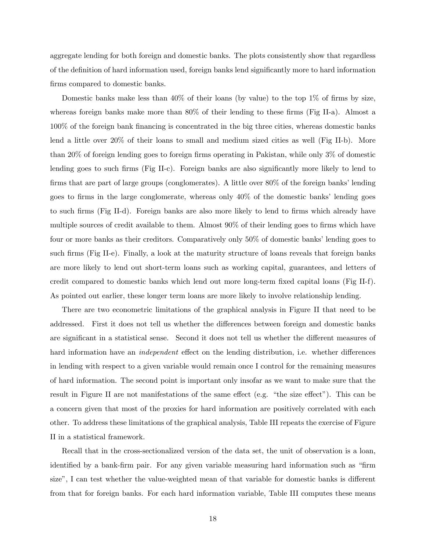aggregate lending for both foreign and domestic banks. The plots consistently show that regardless of the definition of hard information used, foreign banks lend significantly more to hard information firms compared to domestic banks.

Domestic banks make less than 40% of their loans (by value) to the top 1% of firms by size, whereas foreign banks make more than 80% of their lending to these firms (Fig II-a). Almost a 100% of the foreign bank financing is concentrated in the big three cities, whereas domestic banks lend a little over 20% of their loans to small and medium sized cities as well (Fig II-b). More than 20% of foreign lending goes to foreign firms operating in Pakistan, while only 3% of domestic lending goes to such firms (Fig II-c). Foreign banks are also significantly more likely to lend to firms that are part of large groups (conglomerates). A little over 80% of the foreign banks' lending goes to firms in the large conglomerate, whereas only 40% of the domestic banks' lending goes to such firms (Fig II-d). Foreign banks are also more likely to lend to firms which already have multiple sources of credit available to them. Almost 90% of their lending goes to firms which have four or more banks as their creditors. Comparatively only 50% of domestic banks' lending goes to such firms (Fig II-e). Finally, a look at the maturity structure of loans reveals that foreign banks are more likely to lend out short-term loans such as working capital, guarantees, and letters of credit compared to domestic banks which lend out more long-term fixed capital loans (Fig II-f). As pointed out earlier, these longer term loans are more likely to involve relationship lending.

There are two econometric limitations of the graphical analysis in Figure II that need to be addressed. First it does not tell us whether the differences between foreign and domestic banks are significant in a statistical sense. Second it does not tell us whether the different measures of hard information have an *independent* effect on the lending distribution, i.e. whether differences in lending with respect to a given variable would remain once I control for the remaining measures of hard information. The second point is important only insofar as we want to make sure that the result in Figure II are not manifestations of the same effect (e.g. "the size effect"). This can be a concern given that most of the proxies for hard information are positively correlated with each other. To address these limitations of the graphical analysis, Table III repeats the exercise of Figure II in a statistical framework.

Recall that in the cross-sectionalized version of the data set, the unit of observation is a loan, identified by a bank-firm pair. For any given variable measuring hard information such as "firm size", I can test whether the value-weighted mean of that variable for domestic banks is different from that for foreign banks. For each hard information variable, Table III computes these means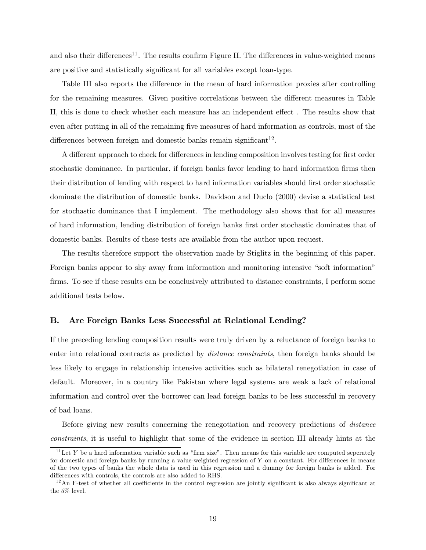and also their differences<sup>11</sup>. The results confirm Figure II. The differences in value-weighted means are positive and statistically significant for all variables except loan-type.

Table III also reports the difference in the mean of hard information proxies after controlling for the remaining measures. Given positive correlations between the different measures in Table II, this is done to check whether each measure has an independent effect . The results show that even after putting in all of the remaining five measures of hard information as controls, most of the differences between foreign and domestic banks remain significant<sup>12</sup>.

A different approach to check for differences in lending composition involves testing for first order stochastic dominance. In particular, if foreign banks favor lending to hard information firms then their distribution of lending with respect to hard information variables should first order stochastic dominate the distribution of domestic banks. Davidson and Duclo (2000) devise a statistical test for stochastic dominance that I implement. The methodology also shows that for all measures of hard information, lending distribution of foreign banks first order stochastic dominates that of domestic banks. Results of these tests are available from the author upon request.

The results therefore support the observation made by Stiglitz in the beginning of this paper. Foreign banks appear to shy away from information and monitoring intensive "soft information" firms. To see if these results can be conclusively attributed to distance constraints, I perform some additional tests below.

#### B. Are Foreign Banks Less Successful at Relational Lending?

If the preceding lending composition results were truly driven by a reluctance of foreign banks to enter into relational contracts as predicted by distance constraints, then foreign banks should be less likely to engage in relationship intensive activities such as bilateral renegotiation in case of default. Moreover, in a country like Pakistan where legal systems are weak a lack of relational information and control over the borrower can lead foreign banks to be less successful in recovery of bad loans.

Before giving new results concerning the renegotiation and recovery predictions of distance constraints, it is useful to highlight that some of the evidence in section III already hints at the

 $11$  Let Y be a hard information variable such as "firm size". Then means for this variable are computed seperately for domestic and foreign banks by running a value-weighted regression of Y on a constant. For differences in means of the two types of banks the whole data is used in this regression and a dummy for foreign banks is added. For differences with controls, the controls are also added to RHS.

 $12$ An F-test of whether all coefficients in the control regression are jointly significant is also always significant at the 5% level.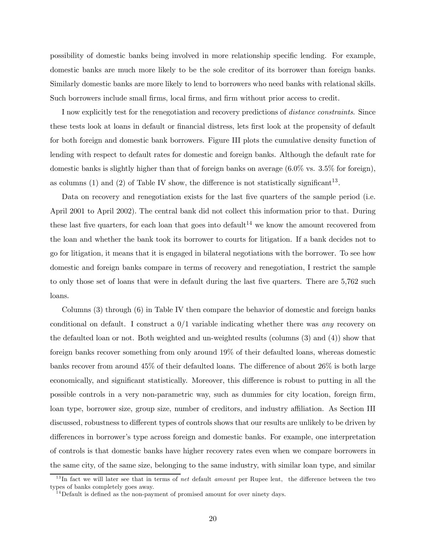possibility of domestic banks being involved in more relationship specific lending. For example, domestic banks are much more likely to be the sole creditor of its borrower than foreign banks. Similarly domestic banks are more likely to lend to borrowers who need banks with relational skills. Such borrowers include small firms, local firms, and firm without prior access to credit.

I now explicitly test for the renegotiation and recovery predictions of distance constraints. Since these tests look at loans in default or financial distress, lets first look at the propensity of default for both foreign and domestic bank borrowers. Figure III plots the cumulative density function of lending with respect to default rates for domestic and foreign banks. Although the default rate for domestic banks is slightly higher than that of foreign banks on average (6.0% vs. 3.5% for foreign), as columns  $(1)$  and  $(2)$  of Table IV show, the difference is not statistically significant<sup>13</sup>.

Data on recovery and renegotiation exists for the last five quarters of the sample period (i.e. April 2001 to April 2002). The central bank did not collect this information prior to that. During these last five quarters, for each loan that goes into default<sup>14</sup> we know the amount recovered from the loan and whether the bank took its borrower to courts for litigation. If a bank decides not to go for litigation, it means that it is engaged in bilateral negotiations with the borrower. To see how domestic and foreign banks compare in terms of recovery and renegotiation, I restrict the sample to only those set of loans that were in default during the last five quarters. There are 5,762 such loans.

Columns (3) through (6) in Table IV then compare the behavior of domestic and foreign banks conditional on default. I construct a  $0/1$  variable indicating whether there was *any* recovery on the defaulted loan or not. Both weighted and un-weighted results (columns (3) and (4)) show that foreign banks recover something from only around 19% of their defaulted loans, whereas domestic banks recover from around 45% of their defaulted loans. The difference of about 26% is both large economically, and significant statistically. Moreover, this difference is robust to putting in all the possible controls in a very non-parametric way, such as dummies for city location, foreign firm, loan type, borrower size, group size, number of creditors, and industry affiliation. As Section III discussed, robustness to different types of controls shows that our results are unlikely to be driven by differences in borrower's type across foreign and domestic banks. For example, one interpretation of controls is that domestic banks have higher recovery rates even when we compare borrowers in the same city, of the same size, belonging to the same industry, with similar loan type, and similar

 $13$ In fact we will later see that in terms of net default amount per Rupee lent, the difference between the two types of banks completely goes away.

 $14$ Default is defined as the non-payment of promised amount for over ninety days.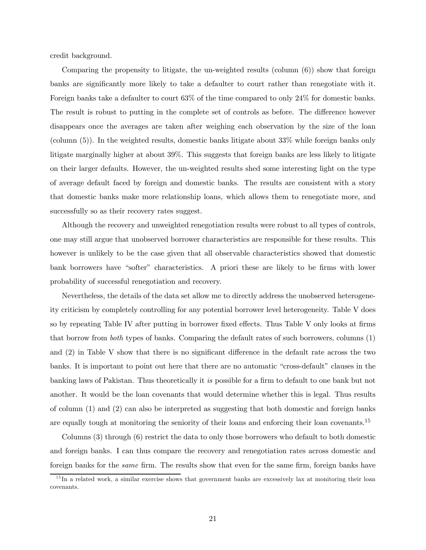credit background.

Comparing the propensity to litigate, the un-weighted results (column (6)) show that foreign banks are significantly more likely to take a defaulter to court rather than renegotiate with it. Foreign banks take a defaulter to court 63% of the time compared to only 24% for domestic banks. The result is robust to putting in the complete set of controls as before. The difference however disappears once the averages are taken after weighing each observation by the size of the loan (column (5)). In the weighted results, domestic banks litigate about 33% while foreign banks only litigate marginally higher at about 39%. This suggests that foreign banks are less likely to litigate on their larger defaults. However, the un-weighted results shed some interesting light on the type of average default faced by foreign and domestic banks. The results are consistent with a story that domestic banks make more relationship loans, which allows them to renegotiate more, and successfully so as their recovery rates suggest.

Although the recovery and unweighted renegotiation results were robust to all types of controls, one may still argue that unobserved borrower characteristics are responsible for these results. This however is unlikely to be the case given that all observable characteristics showed that domestic bank borrowers have "softer" characteristics. A priori these are likely to be firms with lower probability of successful renegotiation and recovery.

Nevertheless, the details of the data set allow me to directly address the unobserved heterogeneity criticism by completely controlling for any potential borrower level heterogeneity. Table V does so by repeating Table IV after putting in borrower fixed effects. Thus Table V only looks at firms that borrow from both types of banks. Comparing the default rates of such borrowers, columns (1) and (2) in Table V show that there is no significant difference in the default rate across the two banks. It is important to point out here that there are no automatic "cross-default" clauses in the banking laws of Pakistan. Thus theoretically it is possible for a firm to default to one bank but not another. It would be the loan covenants that would determine whether this is legal. Thus results of column (1) and (2) can also be interpreted as suggesting that both domestic and foreign banks are equally tough at monitoring the seniority of their loans and enforcing their loan covenants.<sup>15</sup>

Columns (3) through (6) restrict the data to only those borrowers who default to both domestic and foreign banks. I can thus compare the recovery and renegotiation rates across domestic and foreign banks for the *same* firm. The results show that even for the same firm, foreign banks have

 $15$  In a related work, a similar exercise shows that government banks are excessively lax at monitoring their loan covenants.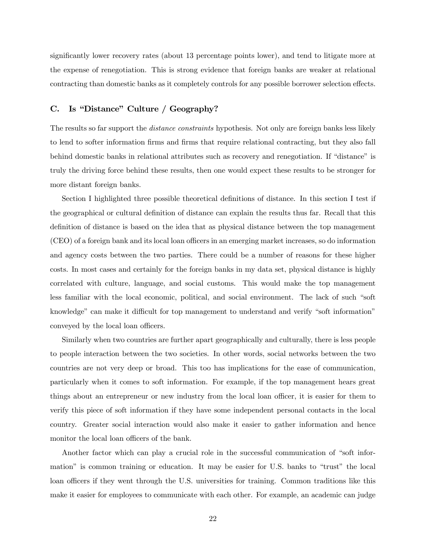significantly lower recovery rates (about 13 percentage points lower), and tend to litigate more at the expense of renegotiation. This is strong evidence that foreign banks are weaker at relational contracting than domestic banks as it completely controls for any possible borrower selection effects.

#### C. Is "Distance" Culture / Geography?

The results so far support the *distance constraints* hypothesis. Not only are foreign banks less likely to lend to softer information firms and firms that require relational contracting, but they also fall behind domestic banks in relational attributes such as recovery and renegotiation. If "distance" is truly the driving force behind these results, then one would expect these results to be stronger for more distant foreign banks.

Section I highlighted three possible theoretical definitions of distance. In this section I test if the geographical or cultural definition of distance can explain the results thus far. Recall that this definition of distance is based on the idea that as physical distance between the top management (CEO) of a foreign bank and its local loan officers in an emerging market increases, so do information and agency costs between the two parties. There could be a number of reasons for these higher costs. In most cases and certainly for the foreign banks in my data set, physical distance is highly correlated with culture, language, and social customs. This would make the top management less familiar with the local economic, political, and social environment. The lack of such "soft knowledge" can make it difficult for top management to understand and verify "soft information" conveyed by the local loan officers.

Similarly when two countries are further apart geographically and culturally, there is less people to people interaction between the two societies. In other words, social networks between the two countries are not very deep or broad. This too has implications for the ease of communication, particularly when it comes to soft information. For example, if the top management hears great things about an entrepreneur or new industry from the local loan officer, it is easier for them to verify this piece of soft information if they have some independent personal contacts in the local country. Greater social interaction would also make it easier to gather information and hence monitor the local loan officers of the bank.

Another factor which can play a crucial role in the successful communication of "soft information" is common training or education. It may be easier for U.S. banks to "trust" the local loan officers if they went through the U.S. universities for training. Common traditions like this make it easier for employees to communicate with each other. For example, an academic can judge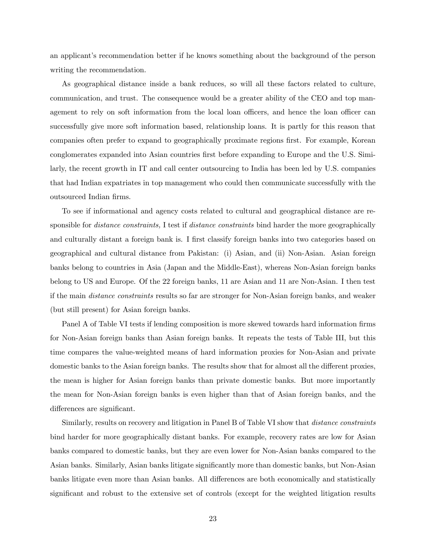an applicant's recommendation better if he knows something about the background of the person writing the recommendation.

As geographical distance inside a bank reduces, so will all these factors related to culture, communication, and trust. The consequence would be a greater ability of the CEO and top management to rely on soft information from the local loan officers, and hence the loan officer can successfully give more soft information based, relationship loans. It is partly for this reason that companies often prefer to expand to geographically proximate regions first. For example, Korean conglomerates expanded into Asian countries first before expanding to Europe and the U.S. Similarly, the recent growth in IT and call center outsourcing to India has been led by U.S. companies that had Indian expatriates in top management who could then communicate successfully with the outsourced Indian firms.

To see if informational and agency costs related to cultural and geographical distance are responsible for *distance constraints*, I test if *distance constraints* bind harder the more geographically and culturally distant a foreign bank is. I first classify foreign banks into two categories based on geographical and cultural distance from Pakistan: (i) Asian, and (ii) Non-Asian. Asian foreign banks belong to countries in Asia (Japan and the Middle-East), whereas Non-Asian foreign banks belong to US and Europe. Of the 22 foreign banks, 11 are Asian and 11 are Non-Asian. I then test if the main distance constraints results so far are stronger for Non-Asian foreign banks, and weaker (but still present) for Asian foreign banks.

Panel A of Table VI tests if lending composition is more skewed towards hard information firms for Non-Asian foreign banks than Asian foreign banks. It repeats the tests of Table III, but this time compares the value-weighted means of hard information proxies for Non-Asian and private domestic banks to the Asian foreign banks. The results show that for almost all the different proxies, the mean is higher for Asian foreign banks than private domestic banks. But more importantly the mean for Non-Asian foreign banks is even higher than that of Asian foreign banks, and the differences are significant.

Similarly, results on recovery and litigation in Panel B of Table VI show that *distance constraints* bind harder for more geographically distant banks. For example, recovery rates are low for Asian banks compared to domestic banks, but they are even lower for Non-Asian banks compared to the Asian banks. Similarly, Asian banks litigate significantly more than domestic banks, but Non-Asian banks litigate even more than Asian banks. All differences are both economically and statistically significant and robust to the extensive set of controls (except for the weighted litigation results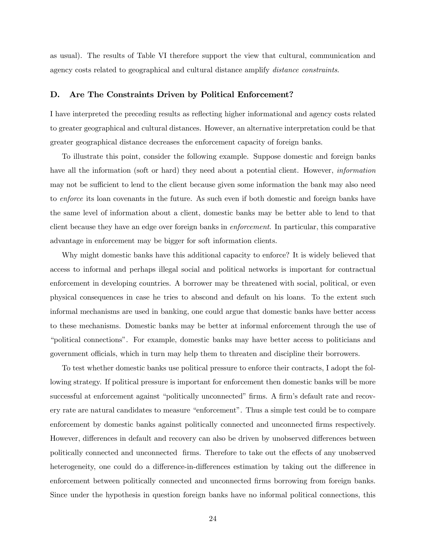as usual). The results of Table VI therefore support the view that cultural, communication and agency costs related to geographical and cultural distance amplify distance constraints.

#### D. Are The Constraints Driven by Political Enforcement?

I have interpreted the preceding results as reflecting higher informational and agency costs related to greater geographical and cultural distances. However, an alternative interpretation could be that greater geographical distance decreases the enforcement capacity of foreign banks.

To illustrate this point, consider the following example. Suppose domestic and foreign banks have all the information (soft or hard) they need about a potential client. However, *information* may not be sufficient to lend to the client because given some information the bank may also need to enforce its loan covenants in the future. As such even if both domestic and foreign banks have the same level of information about a client, domestic banks may be better able to lend to that client because they have an edge over foreign banks in enforcement. In particular, this comparative advantage in enforcement may be bigger for soft information clients.

Why might domestic banks have this additional capacity to enforce? It is widely believed that access to informal and perhaps illegal social and political networks is important for contractual enforcement in developing countries. A borrower may be threatened with social, political, or even physical consequences in case he tries to abscond and default on his loans. To the extent such informal mechanisms are used in banking, one could argue that domestic banks have better access to these mechanisms. Domestic banks may be better at informal enforcement through the use of "political connections". For example, domestic banks may have better access to politicians and government officials, which in turn may help them to threaten and discipline their borrowers.

To test whether domestic banks use political pressure to enforce their contracts, I adopt the following strategy. If political pressure is important for enforcement then domestic banks will be more successful at enforcement against "politically unconnected" firms. A firm's default rate and recovery rate are natural candidates to measure "enforcement". Thus a simple test could be to compare enforcement by domestic banks against politically connected and unconnected firms respectively. However, differences in default and recovery can also be driven by unobserved differences between politically connected and unconnected firms. Therefore to take out the effects of any unobserved heterogeneity, one could do a difference-in-differences estimation by taking out the difference in enforcement between politically connected and unconnected firms borrowing from foreign banks. Since under the hypothesis in question foreign banks have no informal political connections, this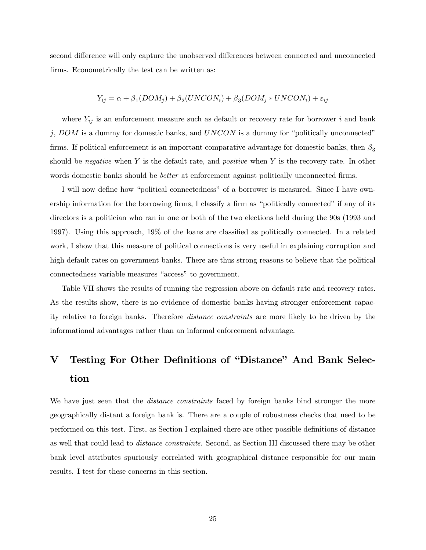second difference will only capture the unobserved differences between connected and unconnected firms. Econometrically the test can be written as:

$$
Y_{ij} = \alpha + \beta_1(DOM_j) + \beta_2(UNCON_i) + \beta_3(DOM_j * UNCON_i) + \varepsilon_{ij}
$$

where  $Y_{ij}$  is an enforcement measure such as default or recovery rate for borrower i and bank  $j, DOM$  is a dummy for domestic banks, and  $UNCON$  is a dummy for "politically unconnected" firms. If political enforcement is an important comparative advantage for domestic banks, then  $\beta_3$ should be *negative* when Y is the default rate, and *positive* when Y is the recovery rate. In other words domestic banks should be *better* at enforcement against politically unconnected firms.

I will now define how "political connectedness" of a borrower is measured. Since I have ownership information for the borrowing firms, I classify a firm as "politically connected" if any of its directors is a politician who ran in one or both of the two elections held during the 90s (1993 and 1997). Using this approach, 19% of the loans are classified as politically connected. In a related work, I show that this measure of political connections is very useful in explaining corruption and high default rates on government banks. There are thus strong reasons to believe that the political connectedness variable measures "access" to government.

Table VII shows the results of running the regression above on default rate and recovery rates. As the results show, there is no evidence of domestic banks having stronger enforcement capacity relative to foreign banks. Therefore distance constraints are more likely to be driven by the informational advantages rather than an informal enforcement advantage.

# V Testing For Other Definitions of "Distance" And Bank Selection

We have just seen that the *distance constraints* faced by foreign banks bind stronger the more geographically distant a foreign bank is. There are a couple of robustness checks that need to be performed on this test. First, as Section I explained there are other possible definitions of distance as well that could lead to distance constraints. Second, as Section III discussed there may be other bank level attributes spuriously correlated with geographical distance responsible for our main results. I test for these concerns in this section.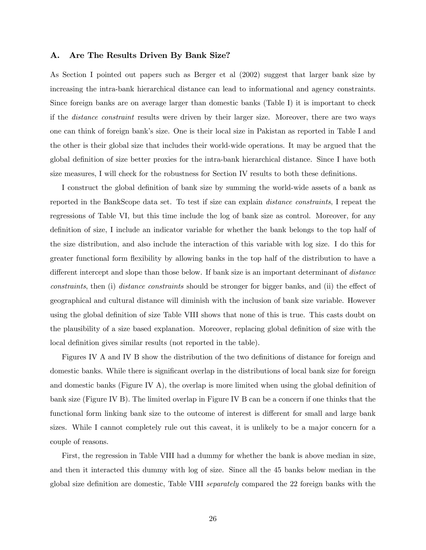#### A. Are The Results Driven By Bank Size?

As Section I pointed out papers such as Berger et al (2002) suggest that larger bank size by increasing the intra-bank hierarchical distance can lead to informational and agency constraints. Since foreign banks are on average larger than domestic banks (Table I) it is important to check if the distance constraint results were driven by their larger size. Moreover, there are two ways one can think of foreign bank's size. One is their local size in Pakistan as reported in Table I and the other is their global size that includes their world-wide operations. It may be argued that the global definition of size better proxies for the intra-bank hierarchical distance. Since I have both size measures, I will check for the robustness for Section IV results to both these definitions.

I construct the global definition of bank size by summing the world-wide assets of a bank as reported in the BankScope data set. To test if size can explain distance constraints, I repeat the regressions of Table VI, but this time include the log of bank size as control. Moreover, for any definition of size, I include an indicator variable for whether the bank belongs to the top half of the size distribution, and also include the interaction of this variable with log size. I do this for greater functional form flexibility by allowing banks in the top half of the distribution to have a different intercept and slope than those below. If bank size is an important determinant of *distance* constraints, then (i) distance constraints should be stronger for bigger banks, and (ii) the effect of geographical and cultural distance will diminish with the inclusion of bank size variable. However using the global definition of size Table VIII shows that none of this is true. This casts doubt on the plausibility of a size based explanation. Moreover, replacing global definition of size with the local definition gives similar results (not reported in the table).

Figures IV A and IV B show the distribution of the two definitions of distance for foreign and domestic banks. While there is significant overlap in the distributions of local bank size for foreign and domestic banks (Figure IV A), the overlap is more limited when using the global definition of bank size (Figure IV B). The limited overlap in Figure IV B can be a concern if one thinks that the functional form linking bank size to the outcome of interest is different for small and large bank sizes. While I cannot completely rule out this caveat, it is unlikely to be a major concern for a couple of reasons.

First, the regression in Table VIII had a dummy for whether the bank is above median in size, and then it interacted this dummy with log of size. Since all the 45 banks below median in the global size definition are domestic, Table VIII separately compared the 22 foreign banks with the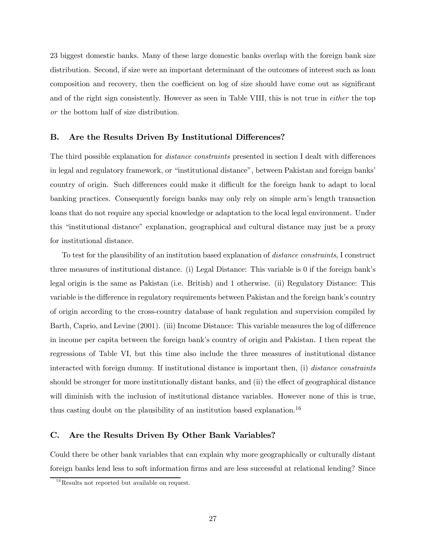23 biggest domestic banks. Many of these large domestic banks overlap with the foreign bank size distribution. Second, if size were an important determinant of the outcomes of interest such as loan composition and recovery, then the coefficient on log of size should have come out as significant and of the right sign consistently. However as seen in Table VIII, this is not true in *either* the top or the bottom half of size distribution.

#### B. Are the Results Driven By Institutional Differences?

The third possible explanation for *distance constraints* presented in section I dealt with differences in legal and regulatory framework, or "institutional distance", between Pakistan and foreign banks' country of origin. Such differences could make it difficult for the foreign bank to adapt to local banking practices. Consequently foreign banks may only rely on simple arm's length transaction loans that do not require any special knowledge or adaptation to the local legal environment. Under this "institutional distance" explanation, geographical and cultural distance may just be a proxy for institutional distance.

To test for the plausibility of an institution based explanation of distance constraints, I construct three measures of institutional distance. (i) Legal Distance: This variable is 0 if the foreign bank's legal origin is the same as Pakistan (i.e. British) and 1 otherwise. (ii) Regulatory Distance: This variable is the difference in regulatory requirements between Pakistan and the foreign bank's country of origin according to the cross-country database of bank regulation and supervision compiled by Barth, Caprio, and Levine (2001). (iii) Income Distance: This variable measures the log of difference in income per capita between the foreign bank's country of origin and Pakistan. I then repeat the regressions of Table VI, but this time also include the three measures of institutional distance interacted with foreign dummy. If institutional distance is important then, (i) distance constraints should be stronger for more institutionally distant banks, and (ii) the effect of geographical distance will diminish with the inclusion of institutional distance variables. However none of this is true, thus casting doubt on the plausibility of an institution based explanation.<sup>16</sup>

#### C. Are the Results Driven By Other Bank Variables?

Could there be other bank variables that can explain why more geographically or culturally distant foreign banks lend less to soft information firms and are less successful at relational lending? Since

 $16$ Results not reported but available on request.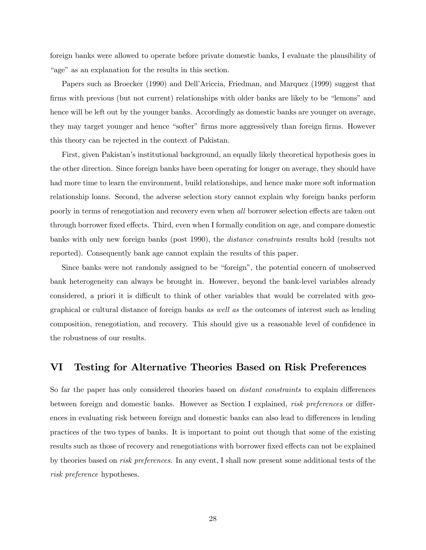foreign banks were allowed to operate before private domestic banks, I evaluate the plausibility of "age" as an explanation for the results in this section.

Papers such as Broecker (1990) and Dell'Ariccia, Friedman, and Marquez (1999) suggest that firms with previous (but not current) relationships with older banks are likely to be "lemons" and hence will be left out by the younger banks. Accordingly as domestic banks are younger on average, they may target younger and hence "softer" firms more aggressively than foreign firms. However this theory can be rejected in the context of Pakistan.

First, given Pakistan's institutional background, an equally likely theoretical hypothesis goes in the other direction. Since foreign banks have been operating for longer on average, they should have had more time to learn the environment, build relationships, and hence make more soft information relationship loans. Second, the adverse selection story cannot explain why foreign banks perform poorly in terms of renegotiation and recovery even when all borrower selection effects are taken out through borrower fixed effects. Third, even when I formally condition on age, and compare domestic banks with only new foreign banks (post 1990), the distance constraints results hold (results not reported). Consequently bank age cannot explain the results of this paper.

Since banks were not randomly assigned to be "foreign", the potential concern of unobserved bank heterogeneity can always be brought in. However, beyond the bank-level variables already considered, a priori it is difficult to think of other variables that would be correlated with geographical or cultural distance of foreign banks as well as the outcomes of interest such as lending composition, renegotiation, and recovery. This should give us a reasonable level of confidence in the robustness of our results.

### VI Testing for Alternative Theories Based on Risk Preferences

So far the paper has only considered theories based on *distant constraints* to explain differences between foreign and domestic banks. However as Section I explained, risk preferences or differences in evaluating risk between foreign and domestic banks can also lead to differences in lending practices of the two types of banks. It is important to point out though that some of the existing results such as those of recovery and renegotiations with borrower fixed effects can not be explained by theories based on risk preferences. In any event, I shall now present some additional tests of the risk preference hypotheses.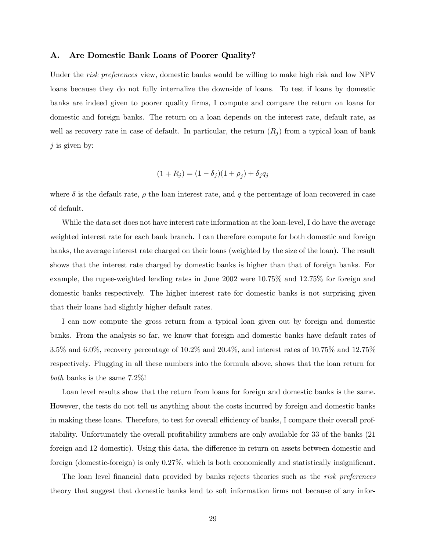#### A. Are Domestic Bank Loans of Poorer Quality?

Under the *risk preferences* view, domestic banks would be willing to make high risk and low NPV loans because they do not fully internalize the downside of loans. To test if loans by domestic banks are indeed given to poorer quality firms, I compute and compare the return on loans for domestic and foreign banks. The return on a loan depends on the interest rate, default rate, as well as recovery rate in case of default. In particular, the return  $(R_i)$  from a typical loan of bank  $j$  is given by:

$$
(1 + R_j) = (1 - \delta_j)(1 + \rho_j) + \delta_j q_j
$$

where  $\delta$  is the default rate,  $\rho$  the loan interest rate, and q the percentage of loan recovered in case of default.

While the data set does not have interest rate information at the loan-level, I do have the average weighted interest rate for each bank branch. I can therefore compute for both domestic and foreign banks, the average interest rate charged on their loans (weighted by the size of the loan). The result shows that the interest rate charged by domestic banks is higher than that of foreign banks. For example, the rupee-weighted lending rates in June 2002 were 10.75% and 12.75% for foreign and domestic banks respectively. The higher interest rate for domestic banks is not surprising given that their loans had slightly higher default rates.

I can now compute the gross return from a typical loan given out by foreign and domestic banks. From the analysis so far, we know that foreign and domestic banks have default rates of 3.5% and 6.0%, recovery percentage of 10.2% and 20.4%, and interest rates of 10.75% and 12.75% respectively. Plugging in all these numbers into the formula above, shows that the loan return for both banks is the same 7.2%!

Loan level results show that the return from loans for foreign and domestic banks is the same. However, the tests do not tell us anything about the costs incurred by foreign and domestic banks in making these loans. Therefore, to test for overall efficiency of banks, I compare their overall profitability. Unfortunately the overall profitability numbers are only available for 33 of the banks (21 foreign and 12 domestic). Using this data, the difference in return on assets between domestic and foreign (domestic-foreign) is only 0.27%, which is both economically and statistically insignificant.

The loan level financial data provided by banks rejects theories such as the risk preferences theory that suggest that domestic banks lend to soft information firms not because of any infor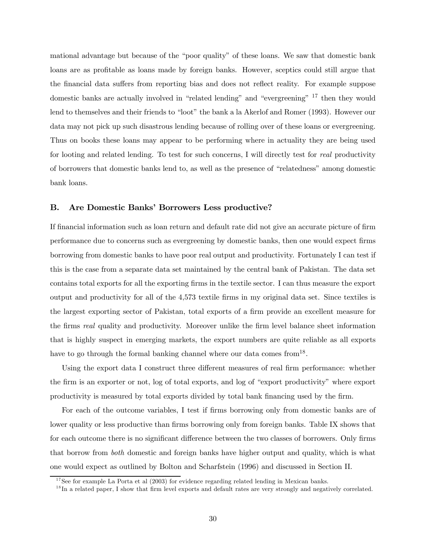mational advantage but because of the "poor quality" of these loans. We saw that domestic bank loans are as profitable as loans made by foreign banks. However, sceptics could still argue that the financial data suffers from reporting bias and does not reflect reality. For example suppose domestic banks are actually involved in "related lending" and "evergreening" <sup>17</sup> then they would lend to themselves and their friends to "loot" the bank a la Akerlof and Romer (1993). However our data may not pick up such disastrous lending because of rolling over of these loans or evergreening. Thus on books these loans may appear to be performing where in actuality they are being used for looting and related lending. To test for such concerns, I will directly test for real productivity of borrowers that domestic banks lend to, as well as the presence of "relatedness" among domestic bank loans.

#### B. Are Domestic Banks' Borrowers Less productive?

If financial information such as loan return and default rate did not give an accurate picture of firm performance due to concerns such as evergreening by domestic banks, then one would expect firms borrowing from domestic banks to have poor real output and productivity. Fortunately I can test if this is the case from a separate data set maintained by the central bank of Pakistan. The data set contains total exports for all the exporting firms in the textile sector. I can thus measure the export output and productivity for all of the 4,573 textile firms in my original data set. Since textiles is the largest exporting sector of Pakistan, total exports of a firm provide an excellent measure for the firms real quality and productivity. Moreover unlike the firm level balance sheet information that is highly suspect in emerging markets, the export numbers are quite reliable as all exports have to go through the formal banking channel where our data comes from  $18$ .

Using the export data I construct three different measures of real firm performance: whether the firm is an exporter or not, log of total exports, and log of "export productivity" where export productivity is measured by total exports divided by total bank financing used by the firm.

For each of the outcome variables, I test if firms borrowing only from domestic banks are of lower quality or less productive than firms borrowing only from foreign banks. Table IX shows that for each outcome there is no significant difference between the two classes of borrowers. Only firms that borrow from both domestic and foreign banks have higher output and quality, which is what one would expect as outlined by Bolton and Scharfstein (1996) and discussed in Section II.

<sup>&</sup>lt;sup>17</sup>See for example La Porta et al  $(2003)$  for evidence regarding related lending in Mexican banks.

<sup>&</sup>lt;sup>18</sup>In a related paper, I show that firm level exports and default rates are very strongly and negatively correlated.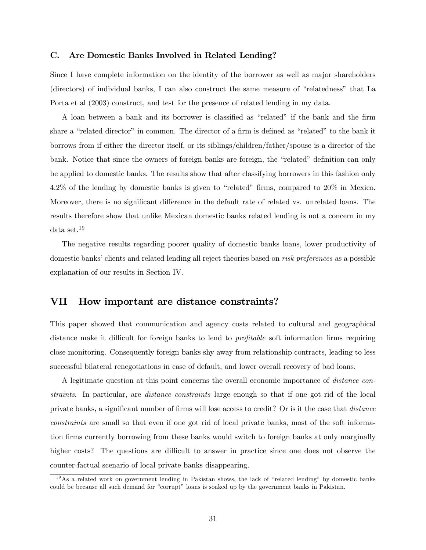#### C. Are Domestic Banks Involved in Related Lending?

Since I have complete information on the identity of the borrower as well as major shareholders (directors) of individual banks, I can also construct the same measure of "relatedness" that La Porta et al (2003) construct, and test for the presence of related lending in my data.

A loan between a bank and its borrower is classified as "related" if the bank and the firm share a "related director" in common. The director of a firm is defined as "related" to the bank it borrows from if either the director itself, or its siblings/children/father/spouse is a director of the bank. Notice that since the owners of foreign banks are foreign, the "related" definition can only be applied to domestic banks. The results show that after classifying borrowers in this fashion only 4.2% of the lending by domestic banks is given to "related" firms, compared to 20% in Mexico. Moreover, there is no significant difference in the default rate of related vs. unrelated loans. The results therefore show that unlike Mexican domestic banks related lending is not a concern in my data set.<sup>19</sup>

The negative results regarding poorer quality of domestic banks loans, lower productivity of domestic banks' clients and related lending all reject theories based on risk preferences as a possible explanation of our results in Section IV.

### VII How important are distance constraints?

This paper showed that communication and agency costs related to cultural and geographical distance make it difficult for foreign banks to lend to *profitable* soft information firms requiring close monitoring. Consequently foreign banks shy away from relationship contracts, leading to less successful bilateral renegotiations in case of default, and lower overall recovery of bad loans.

A legitimate question at this point concerns the overall economic importance of distance constraints. In particular, are distance constraints large enough so that if one got rid of the local private banks, a significant number of firms will lose access to credit? Or is it the case that distance constraints are small so that even if one got rid of local private banks, most of the soft information firms currently borrowing from these banks would switch to foreign banks at only marginally higher costs? The questions are difficult to answer in practice since one does not observe the counter-factual scenario of local private banks disappearing.

<sup>&</sup>lt;sup>19</sup>As a related work on government lending in Pakistan shows, the lack of "related lending" by domestic banks could be because all such demand for "corrupt" loans is soaked up by the government banks in Pakistan.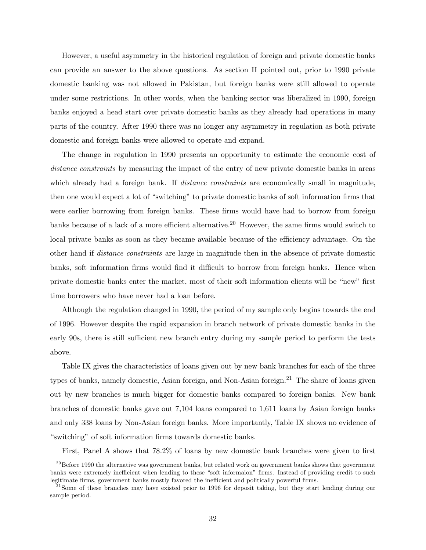However, a useful asymmetry in the historical regulation of foreign and private domestic banks can provide an answer to the above questions. As section II pointed out, prior to 1990 private domestic banking was not allowed in Pakistan, but foreign banks were still allowed to operate under some restrictions. In other words, when the banking sector was liberalized in 1990, foreign banks enjoyed a head start over private domestic banks as they already had operations in many parts of the country. After 1990 there was no longer any asymmetry in regulation as both private domestic and foreign banks were allowed to operate and expand.

The change in regulation in 1990 presents an opportunity to estimate the economic cost of distance constraints by measuring the impact of the entry of new private domestic banks in areas which already had a foreign bank. If *distance constraints* are economically small in magnitude, then one would expect a lot of "switching" to private domestic banks of soft information firms that were earlier borrowing from foreign banks. These firms would have had to borrow from foreign banks because of a lack of a more efficient alternative.<sup>20</sup> However, the same firms would switch to local private banks as soon as they became available because of the efficiency advantage. On the other hand if distance constraints are large in magnitude then in the absence of private domestic banks, soft information firms would find it difficult to borrow from foreign banks. Hence when private domestic banks enter the market, most of their soft information clients will be "new" first time borrowers who have never had a loan before.

Although the regulation changed in 1990, the period of my sample only begins towards the end of 1996. However despite the rapid expansion in branch network of private domestic banks in the early 90s, there is still sufficient new branch entry during my sample period to perform the tests above.

Table IX gives the characteristics of loans given out by new bank branches for each of the three types of banks, namely domestic, Asian foreign, and Non-Asian foreign.21 The share of loans given out by new branches is much bigger for domestic banks compared to foreign banks. New bank branches of domestic banks gave out 7,104 loans compared to 1,611 loans by Asian foreign banks and only 338 loans by Non-Asian foreign banks. More importantly, Table IX shows no evidence of "switching" of soft information firms towards domestic banks.

First, Panel A shows that 78.2% of loans by new domestic bank branches were given to first

 $^{20}$ Before 1990 the alternative was government banks, but related work on government banks shows that government banks were extremely inefficient when lending to these "soft informaion" firms. Instead of providing credit to such legitimate firms, government banks mostly favored the inefficient and politically powerful firms.

 $^{21}$ Some of these branches may have existed prior to 1996 for deposit taking, but they start lending during our sample period.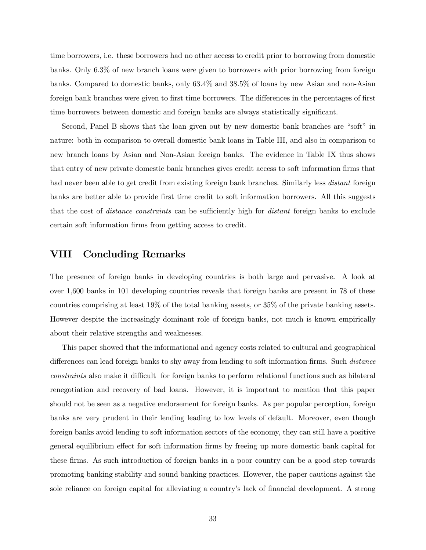time borrowers, i.e. these borrowers had no other access to credit prior to borrowing from domestic banks. Only 6.3% of new branch loans were given to borrowers with prior borrowing from foreign banks. Compared to domestic banks, only 63.4% and 38.5% of loans by new Asian and non-Asian foreign bank branches were given to first time borrowers. The differences in the percentages of first time borrowers between domestic and foreign banks are always statistically significant.

Second, Panel B shows that the loan given out by new domestic bank branches are "soft" in nature: both in comparison to overall domestic bank loans in Table III, and also in comparison to new branch loans by Asian and Non-Asian foreign banks. The evidence in Table IX thus shows that entry of new private domestic bank branches gives credit access to soft information firms that had never been able to get credit from existing foreign bank branches. Similarly less *distant* foreign banks are better able to provide first time credit to soft information borrowers. All this suggests that the cost of *distance constraints* can be sufficiently high for *distant* foreign banks to exclude certain soft information firms from getting access to credit.

### VIII Concluding Remarks

The presence of foreign banks in developing countries is both large and pervasive. A look at over 1,600 banks in 101 developing countries reveals that foreign banks are present in 78 of these countries comprising at least 19% of the total banking assets, or 35% of the private banking assets. However despite the increasingly dominant role of foreign banks, not much is known empirically about their relative strengths and weaknesses.

This paper showed that the informational and agency costs related to cultural and geographical differences can lead foreign banks to shy away from lending to soft information firms. Such *distance* constraints also make it difficult for foreign banks to perform relational functions such as bilateral renegotiation and recovery of bad loans. However, it is important to mention that this paper should not be seen as a negative endorsement for foreign banks. As per popular perception, foreign banks are very prudent in their lending leading to low levels of default. Moreover, even though foreign banks avoid lending to soft information sectors of the economy, they can still have a positive general equilibrium effect for soft information firms by freeing up more domestic bank capital for these firms. As such introduction of foreign banks in a poor country can be a good step towards promoting banking stability and sound banking practices. However, the paper cautions against the sole reliance on foreign capital for alleviating a country's lack of financial development. A strong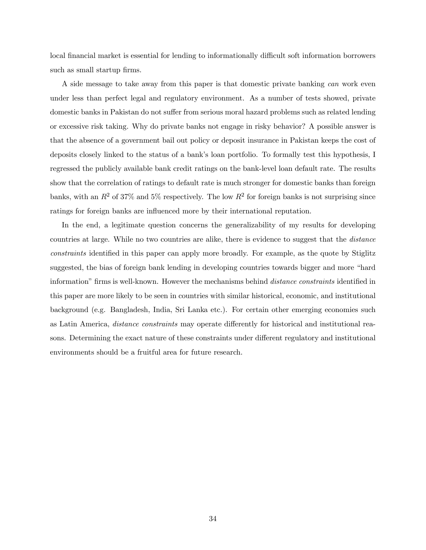local financial market is essential for lending to informationally difficult soft information borrowers such as small startup firms.

A side message to take away from this paper is that domestic private banking can work even under less than perfect legal and regulatory environment. As a number of tests showed, private domestic banks in Pakistan do not suffer from serious moral hazard problems such as related lending or excessive risk taking. Why do private banks not engage in risky behavior? A possible answer is that the absence of a government bail out policy or deposit insurance in Pakistan keeps the cost of deposits closely linked to the status of a bank's loan portfolio. To formally test this hypothesis, I regressed the publicly available bank credit ratings on the bank-level loan default rate. The results show that the correlation of ratings to default rate is much stronger for domestic banks than foreign banks, with an  $R^2$  of 37% and 5% respectively. The low  $R^2$  for foreign banks is not surprising since ratings for foreign banks are influenced more by their international reputation.

In the end, a legitimate question concerns the generalizability of my results for developing countries at large. While no two countries are alike, there is evidence to suggest that the distance constraints identified in this paper can apply more broadly. For example, as the quote by Stiglitz suggested, the bias of foreign bank lending in developing countries towards bigger and more "hard information" firms is well-known. However the mechanisms behind distance constraints identified in this paper are more likely to be seen in countries with similar historical, economic, and institutional background (e.g. Bangladesh, India, Sri Lanka etc.). For certain other emerging economies such as Latin America, distance constraints may operate differently for historical and institutional reasons. Determining the exact nature of these constraints under different regulatory and institutional environments should be a fruitful area for future research.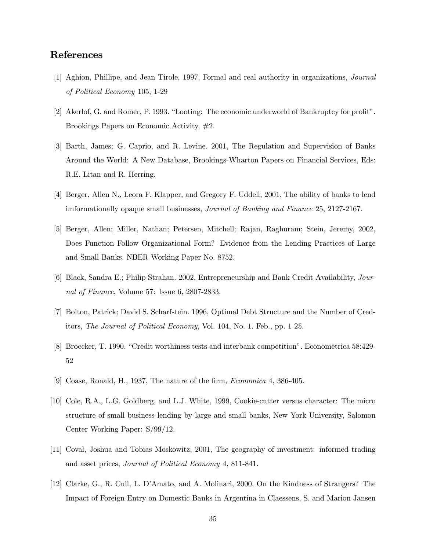# References

- [1] Aghion, Phillipe, and Jean Tirole, 1997, Formal and real authority in organizations, Journal of Political Economy 105, 1-29
- [2] Akerlof, G. and Romer, P. 1993. "Looting: The economic underworld of Bankruptcy for profit". Brookings Papers on Economic Activity, #2.
- [3] Barth, James; G. Caprio, and R. Levine. 2001, The Regulation and Supervision of Banks Around the World: A New Database, Brookings-Wharton Papers on Financial Services, Eds: R.E. Litan and R. Herring.
- [4] Berger, Allen N., Leora F. Klapper, and Gregory F. Uddell, 2001, The ability of banks to lend imformationally opaque small businesses, Journal of Banking and Finance 25, 2127-2167.
- [5] Berger, Allen; Miller, Nathan; Petersen, Mitchell; Rajan, Raghuram; Stein, Jeremy, 2002, Does Function Follow Organizational Form? Evidence from the Lending Practices of Large and Small Banks. NBER Working Paper No. 8752.
- [6] Black, Sandra E.; Philip Strahan. 2002, Entrepreneurship and Bank Credit Availability, Journal of Finance, Volume 57: Issue 6, 2807-2833.
- [7] Bolton, Patrick; David S. Scharfstein. 1996, Optimal Debt Structure and the Number of Creditors, The Journal of Political Economy, Vol. 104, No. 1. Feb., pp. 1-25.
- [8] Broecker, T. 1990. "Credit worthiness tests and interbank competition". Econometrica 58:429- 52
- [9] Coase, Ronald, H., 1937, The nature of the firm, Economica 4, 386-405.
- [10] Cole, R.A., L.G. Goldberg, and L.J. White, 1999, Cookie-cutter versus character: The micro structure of small business lending by large and small banks, New York University, Salomon Center Working Paper: S/99/12.
- [11] Coval, Joshua and Tobias Moskowitz, 2001, The geography of investment: informed trading and asset prices, Journal of Political Economy 4, 811-841.
- [12] Clarke, G., R. Cull, L. D'Amato, and A. Molinari, 2000, On the Kindness of Strangers? The Impact of Foreign Entry on Domestic Banks in Argentina in Claessens, S. and Marion Jansen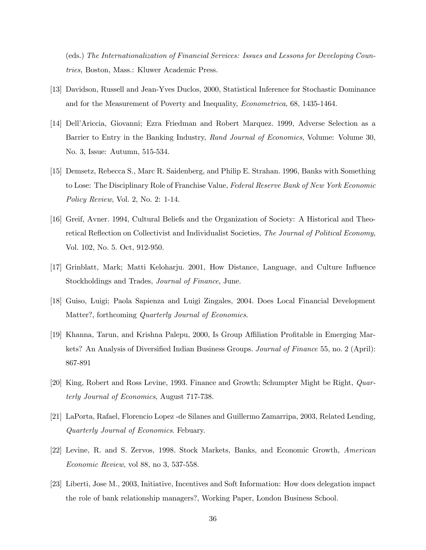(eds.) The Internationalization of Financial Services: Issues and Lessons for Developing Countries, Boston, Mass.: Kluwer Academic Press.

- [13] Davidson, Russell and Jean-Yves Duclos, 2000, Statistical Inference for Stochastic Dominance and for the Measurement of Poverty and Inequality, Econometrica, 68, 1435-1464.
- [14] Dell'Ariccia, Giovanni; Ezra Friedman and Robert Marquez. 1999, Adverse Selection as a Barrier to Entry in the Banking Industry, Rand Journal of Economics, Volume: Volume 30, No. 3, Issue: Autumn, 515-534.
- [15] Demsetz, Rebecca S., Marc R. Saidenberg, and Philip E. Strahan. 1996, Banks with Something to Lose: The Disciplinary Role of Franchise Value, Federal Reserve Bank of New York Economic Policy Review, Vol. 2, No. 2: 1-14.
- [16] Greif, Avner. 1994, Cultural Beliefs and the Organization of Society: A Historical and Theoretical Reflection on Collectivist and Individualist Societies, The Journal of Political Economy, Vol. 102, No. 5. Oct, 912-950.
- [17] Grinblatt, Mark; Matti Keloharju. 2001, How Distance, Language, and Culture Influence Stockholdings and Trades, Journal of Finance, June.
- [18] Guiso, Luigi; Paola Sapienza and Luigi Zingales, 2004. Does Local Financial Development Matter?, forthcoming *Quarterly Journal of Economics*.
- [19] Khanna, Tarun, and Krishna Palepu, 2000, Is Group Affiliation Profitable in Emerging Markets? An Analysis of Diversified Indian Business Groups. *Journal of Finance* 55, no. 2 (April): 867-891
- [20] King, Robert and Ross Levine, 1993. Finance and Growth; Schumpter Might be Right, Quarterly Journal of Economics, August 717-738.
- [21] LaPorta, Rafael, Florencio Lopez -de Silanes and Guillermo Zamarripa, 2003, Related Lending, Quarterly Journal of Economics. Febuary.
- [22] Levine, R. and S. Zervos, 1998. Stock Markets, Banks, and Economic Growth, American Economic Review, vol 88, no 3, 537-558.
- [23] Liberti, Jose M., 2003, Initiative, Incentives and Soft Information: How does delegation impact the role of bank relationship managers?, Working Paper, London Business School.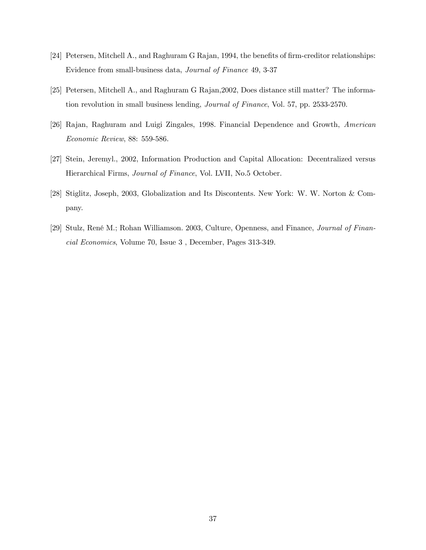- [24] Petersen, Mitchell A., and Raghuram G Rajan, 1994, the benefits of firm-creditor relationships: Evidence from small-business data, Journal of Finance 49, 3-37
- [25] Petersen, Mitchell A., and Raghuram G Rajan,2002, Does distance still matter? The information revolution in small business lending, Journal of Finance, Vol. 57, pp. 2533-2570.
- [26] Rajan, Raghuram and Luigi Zingales, 1998. Financial Dependence and Growth, American Economic Review, 88: 559-586.
- [27] Stein, Jeremyl., 2002, Information Production and Capital Allocation: Decentralized versus Hierarchical Firms, Journal of Finance, Vol. LVII, No.5 October.
- [28] Stiglitz, Joseph, 2003, Globalization and Its Discontents. New York: W. W. Norton & Company.
- [29] Stulz, René M.; Rohan Williamson. 2003, Culture, Openness, and Finance, Journal of Financial Economics, Volume 70, Issue 3 , December, Pages 313-349.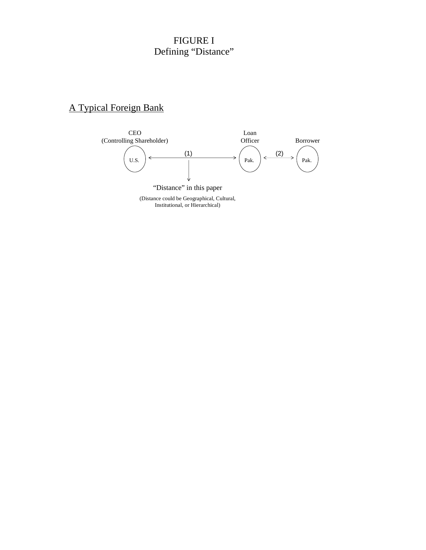# FIGURE I Defining "Distance"

# A Typical Foreign Bank



Institutional, or Hierarchical)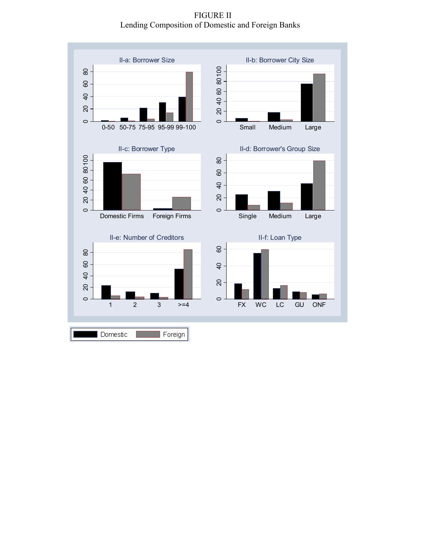FIGURE II Lending Composition of Domestic and Foreign Banks

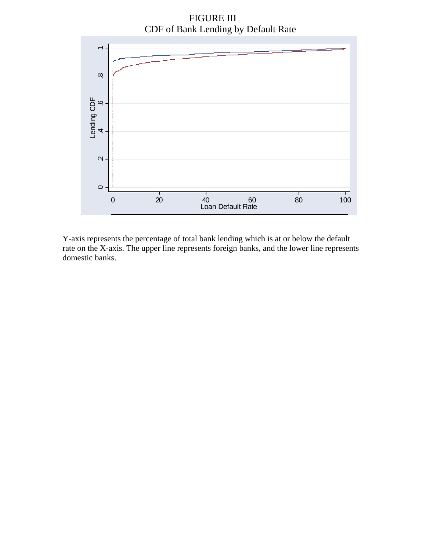FIGURE III CDF of Bank Lending by Default Rate



Y-axis represents the percentage of total bank lending which is at or below the default rate on the X-axis. The upper line represents foreign banks, and the lower line represents domestic banks.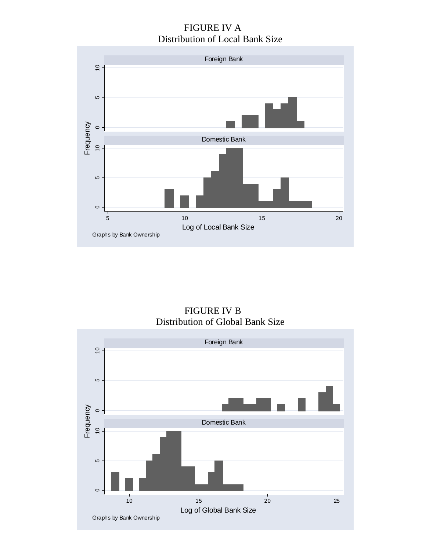# FIGURE IV A Distribution of Local Bank Size



FIGURE IV B Distribution of Global Bank Size

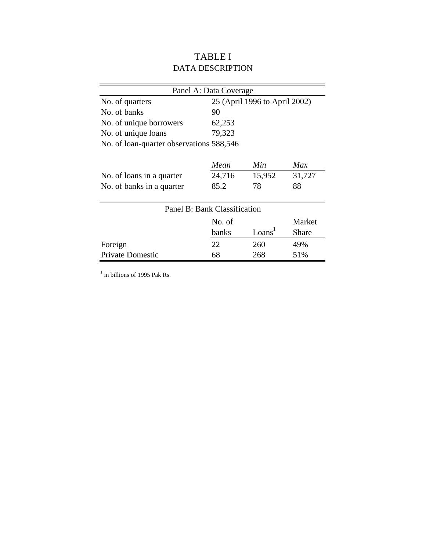| Panel A: Data Coverage                   |                               |                    |        |  |  |  |  |  |
|------------------------------------------|-------------------------------|--------------------|--------|--|--|--|--|--|
| No. of quarters                          | 25 (April 1996 to April 2002) |                    |        |  |  |  |  |  |
| No. of banks                             | 90                            |                    |        |  |  |  |  |  |
| No. of unique borrowers                  | 62,253                        |                    |        |  |  |  |  |  |
| No. of unique loans                      | 79,323                        |                    |        |  |  |  |  |  |
| No. of loan-quarter observations 588,546 |                               |                    |        |  |  |  |  |  |
|                                          |                               |                    |        |  |  |  |  |  |
| Mean<br>Min<br>Max                       |                               |                    |        |  |  |  |  |  |
| No. of loans in a quarter                | 24,716                        | 15,952             | 31,727 |  |  |  |  |  |
| No. of banks in a quarter                | 85.2                          | 78                 | 88     |  |  |  |  |  |
| Panel B: Bank Classification             |                               |                    |        |  |  |  |  |  |
|                                          | No. of                        |                    | Market |  |  |  |  |  |
|                                          | banks                         | Loans <sup>1</sup> | Share  |  |  |  |  |  |
| Foreign                                  | 22                            | 260                | 49%    |  |  |  |  |  |
| <b>Private Domestic</b>                  | 68                            | 268                | 51%    |  |  |  |  |  |

# TABLE I DATA DESCRIPTION

 $<sup>1</sup>$  in billions of 1995 Pak Rs.</sup>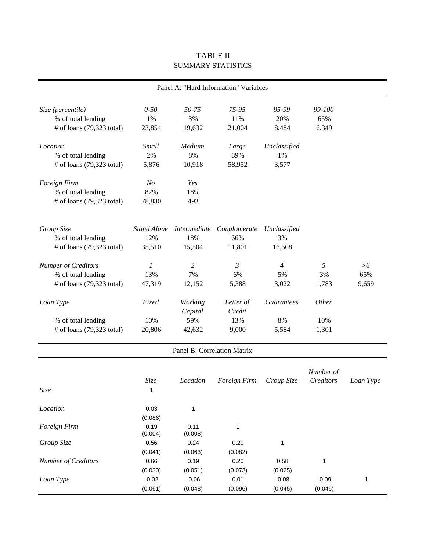|                            | Panel A: "Hard Information" Variables |                             |                     |                   |             |           |  |  |
|----------------------------|---------------------------------------|-----------------------------|---------------------|-------------------|-------------|-----------|--|--|
| Size (percentile)          | $0 - 50$                              | 50-75                       | 75-95               | 95-99             | 99-100      |           |  |  |
| % of total lending         | 1%                                    | 3%                          | 11%                 | 20%               | 65%         |           |  |  |
| # of loans (79,323 total)  | 23,854                                | 19,632                      | 21,004              | 8,484             | 6,349       |           |  |  |
| Location                   | Small                                 | Medium                      | Large               | Unclassified      |             |           |  |  |
| % of total lending         | 2%                                    | 8%                          | 89%                 | 1%                |             |           |  |  |
| # of loans (79,323 total)  | 5,876                                 | 10,918                      | 58,952              | 3,577             |             |           |  |  |
| Foreign Firm               | N <sub>O</sub>                        | Yes                         |                     |                   |             |           |  |  |
| % of total lending         | 82%                                   | 18%                         |                     |                   |             |           |  |  |
| # of loans (79,323 total)  | 78,830                                | 493                         |                     |                   |             |           |  |  |
| Group Size                 | <b>Stand Alone</b>                    | Intermediate                | Conglomerate        | Unclassified      |             |           |  |  |
| % of total lending         | 12%                                   | 18%                         | 66%                 | 3%                |             |           |  |  |
| # of loans (79,323 total)  | 35,510                                | 15,504                      | 11,801              | 16,508            |             |           |  |  |
|                            |                                       |                             |                     |                   |             |           |  |  |
| Number of Creditors        | 1                                     | $\overline{2}$              | $\mathfrak{Z}$      | $\overline{4}$    | 5           | >6        |  |  |
| % of total lending         | 13%                                   | 7%                          | 6%                  | 5%                | 3%          | 65%       |  |  |
| # of loans (79,323 total)  | 47,319                                | 12,152                      | 5,388               | 3,022             | 1,783       | 9,659     |  |  |
| Loan Type                  | Fixed                                 | Working<br>Capital          | Letter of<br>Credit | <b>Guarantees</b> | Other       |           |  |  |
| % of total lending         | 10%                                   | 59%                         | 13%                 | $8\%$             | 10%         |           |  |  |
| # of loans (79,323 total)  | 20,806                                | 42,632                      | 9,000               | 5,584             | 1,301       |           |  |  |
|                            |                                       | Panel B: Correlation Matrix |                     |                   |             |           |  |  |
|                            |                                       |                             |                     |                   | Number of   |           |  |  |
|                            | Size                                  | Location                    | Foreign Firm        | Group Size        | Creditors   | Loan Type |  |  |
| $\it Size$                 | 1                                     |                             |                     |                   |             |           |  |  |
| Location                   | 0.03                                  | 1                           |                     |                   |             |           |  |  |
|                            | (0.086)                               |                             |                     |                   |             |           |  |  |
| Foreign Firm               | 0.19<br>(0.004)                       | 0.11<br>(0.008)             | $\mathbf 1$         |                   |             |           |  |  |
| Group Size                 | 0.56                                  | 0.24                        | 0.20                | 1                 |             |           |  |  |
|                            | (0.041)                               | (0.063)                     | (0.082)             |                   |             |           |  |  |
| <b>Number of Creditors</b> | 0.66                                  | 0.19                        | 0.20                | 0.58              | $\mathbf 1$ |           |  |  |
|                            | (0.030)                               | (0.051)                     | (0.073)             | (0.025)           |             |           |  |  |
| Loan Type                  | $-0.02$                               | $-0.06$                     | 0.01                | $-0.08$           | $-0.09$     | 1         |  |  |
|                            | (0.061)                               | (0.048)                     | (0.096)             | (0.045)           | (0.046)     |           |  |  |

# TABLE II SUMMARY STATISTICS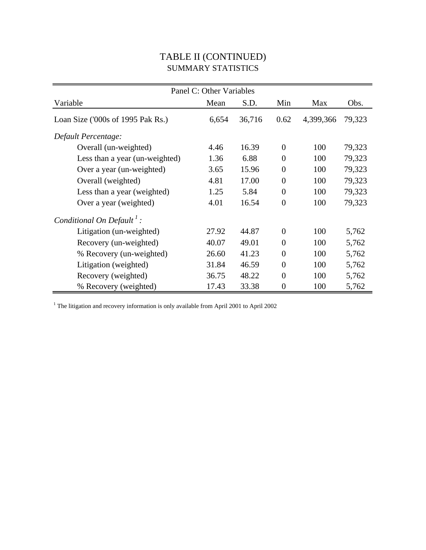# TABLE II (CONTINUED) SUMMARY STATISTICS

| Panel C: Other Variables              |       |        |                |           |        |  |  |  |
|---------------------------------------|-------|--------|----------------|-----------|--------|--|--|--|
| Variable                              | Mean  | S.D.   | Min            | Max       | Obs.   |  |  |  |
| Loan Size ('000s of 1995 Pak Rs.)     | 6,654 | 36,716 | 0.62           | 4,399,366 | 79,323 |  |  |  |
| Default Percentage:                   |       |        |                |           |        |  |  |  |
| Overall (un-weighted)                 | 4.46  | 16.39  | $\overline{0}$ | 100       | 79,323 |  |  |  |
| Less than a year (un-weighted)        | 1.36  | 6.88   | $\overline{0}$ | 100       | 79,323 |  |  |  |
| Over a year (un-weighted)             | 3.65  | 15.96  | $\overline{0}$ | 100       | 79,323 |  |  |  |
| Overall (weighted)                    | 4.81  | 17.00  | $\overline{0}$ | 100       | 79,323 |  |  |  |
| Less than a year (weighted)           | 1.25  | 5.84   | $\overline{0}$ | 100       | 79,323 |  |  |  |
| Over a year (weighted)                | 4.01  | 16.54  | $\overline{0}$ | 100       | 79,323 |  |  |  |
| Conditional On Default <sup>1</sup> : |       |        |                |           |        |  |  |  |
| Litigation (un-weighted)              | 27.92 | 44.87  | $\overline{0}$ | 100       | 5,762  |  |  |  |
| Recovery (un-weighted)                | 40.07 | 49.01  | $\overline{0}$ | 100       | 5,762  |  |  |  |
| % Recovery (un-weighted)              | 26.60 | 41.23  | $\theta$       | 100       | 5,762  |  |  |  |
| Litigation (weighted)                 | 31.84 | 46.59  | $\overline{0}$ | 100       | 5,762  |  |  |  |
| Recovery (weighted)                   | 36.75 | 48.22  | $\theta$       | 100       | 5,762  |  |  |  |
| % Recovery (weighted)                 | 17.43 | 33.38  | $\overline{0}$ | 100       | 5,762  |  |  |  |

<sup>1</sup> The litigation and recovery information is only available from April 2001 to April 2002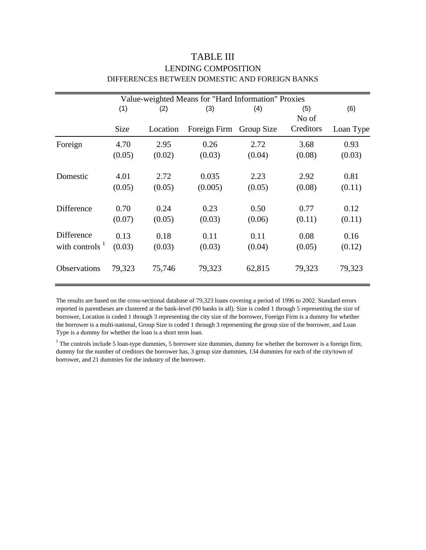|                             | Value-weighted Means for "Hard Information" Proxies |          |              |            |           |           |  |  |
|-----------------------------|-----------------------------------------------------|----------|--------------|------------|-----------|-----------|--|--|
|                             | (1)                                                 | (2)      | (3)          | (4)        | (5)       | (6)       |  |  |
|                             |                                                     |          |              |            | No of     |           |  |  |
|                             | Size                                                | Location | Foreign Firm | Group Size | Creditors | Loan Type |  |  |
| Foreign                     | 4.70                                                | 2.95     | 0.26         | 2.72       | 3.68      | 0.93      |  |  |
|                             | (0.05)                                              | (0.02)   | (0.03)       | (0.04)     | (0.08)    | (0.03)    |  |  |
| Domestic                    | 4.01                                                | 2.72     | 0.035        | 2.23       | 2.92      | 0.81      |  |  |
|                             | (0.05)                                              | (0.05)   | (0.005)      | (0.05)     | (0.08)    | (0.11)    |  |  |
| Difference                  | 0.70                                                | 0.24     | 0.23         | 0.50       | 0.77      | 0.12      |  |  |
|                             | (0.07)                                              | (0.05)   | (0.03)       | (0.06)     | (0.11)    | (0.11)    |  |  |
| Difference                  | 0.13                                                | 0.18     | 0.11         | 0.11       | 0.08      | 0.16      |  |  |
| with controls $\frac{1}{1}$ | (0.03)                                              | (0.03)   | (0.03)       | (0.04)     | (0.05)    | (0.12)    |  |  |
| Observations                | 79,323                                              | 75,746   | 79,323       | 62,815     | 79,323    | 79,323    |  |  |

# TABLE III DIFFERENCES BETWEEN DOMESTIC AND FOREIGN BANKS LENDING COMPOSITION

The results are based on the cross-sectional database of 79,323 loans covering a period of 1996 to 2002. Standard errors reported in parentheses are clustered at the bank-level (90 banks in all). Size is coded 1 through 5 representing the size of borrower, Location is coded 1 through 3 representing the city size of the borrower, Foreign Firm is a dummy for whether the borrower is a multi-national, Group Size is coded 1 through 3 representing the group size of the borrower, and Loan Type is a dummy for whether the loan is a short term loan.

 $1$  The controls include 5 loan-type dummies, 5 borrower size dummies, dummy for whether the borrower is a foreign firm, dummy for the number of creditors the borrower has, 3 group size dummies, 134 dummies for each of the city/town of borrower, and 21 dummies for the industry of the borrower.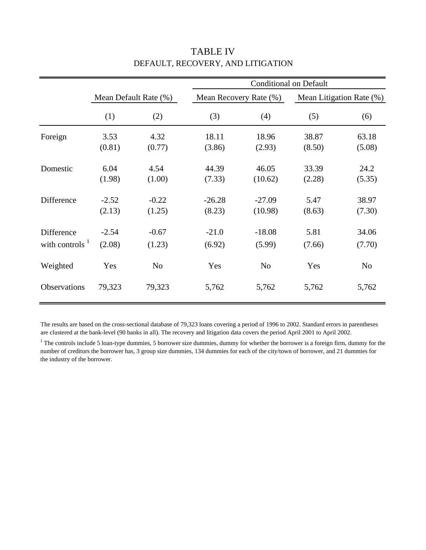|                                 |                       |                   |                    |                        | <b>Conditional on Default</b> |                          |  |
|---------------------------------|-----------------------|-------------------|--------------------|------------------------|-------------------------------|--------------------------|--|
|                                 | Mean Default Rate (%) |                   |                    | Mean Recovery Rate (%) |                               | Mean Litigation Rate (%) |  |
|                                 | (1)                   | (2)               | (3)                | (4)                    | (5)                           | (6)                      |  |
| Foreign                         | 3.53<br>(0.81)        | 4.32<br>(0.77)    | 18.11<br>(3.86)    | 18.96<br>(2.93)        | 38.87<br>(8.50)               | 63.18<br>(5.08)          |  |
| Domestic                        | 6.04<br>(1.98)        | 4.54<br>(1.00)    | 44.39<br>(7.33)    | 46.05<br>(10.62)       | 33.39<br>(2.28)               | 24.2<br>(5.35)           |  |
| Difference                      | $-2.52$<br>(2.13)     | $-0.22$<br>(1.25) | $-26.28$<br>(8.23) | $-27.09$<br>(10.98)    | 5.47<br>(8.63)                | 38.97<br>(7.30)          |  |
| Difference<br>with controls $1$ | $-2.54$<br>(2.08)     | $-0.67$<br>(1.23) | $-21.0$<br>(6.92)  | $-18.08$<br>(5.99)     | 5.81<br>(7.66)                | 34.06<br>(7.70)          |  |
| Weighted                        | Yes                   | N <sub>o</sub>    | Yes                | N <sub>o</sub>         | Yes                           | N <sub>o</sub>           |  |
| Observations                    | 79,323                | 79,323            | 5,762              | 5,762                  | 5,762                         | 5,762                    |  |

# TABLE IV DEFAULT, RECOVERY, AND LITIGATION

The results are based on the cross-sectional database of 79,323 loans covering a period of 1996 to 2002. Standard errors in parentheses are clustered at the bank-level (90 banks in all). The recovery and litigation data covers the period April 2001 to April 2002.

<sup>1</sup> The controls include 5 loan-type dummies, 5 borrower size dummies, dummy for whether the borrower is a foreign firm, dummy for the number of creditors the borrower has, 3 group size dummies, 134 dummies for each of the city/town of borrower, and 21 dummies for the industry of the borrower.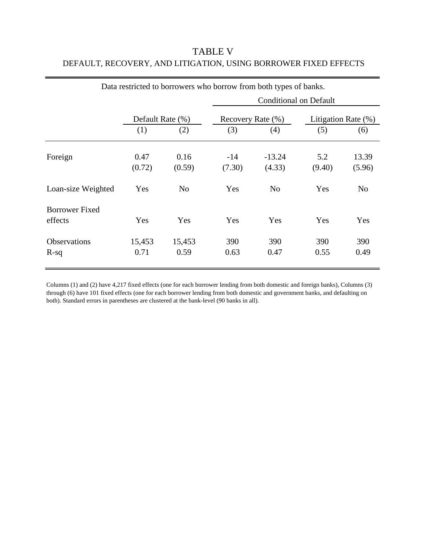| Data restricted to borrowers who borrow from both types of banks. |                  |                |                   |                               |                        |                |  |  |  |
|-------------------------------------------------------------------|------------------|----------------|-------------------|-------------------------------|------------------------|----------------|--|--|--|
|                                                                   |                  |                |                   | <b>Conditional on Default</b> |                        |                |  |  |  |
|                                                                   | Default Rate (%) |                | Recovery Rate (%) |                               | Litigation Rate $(\%)$ |                |  |  |  |
|                                                                   | (1)              | (2)            | (3)               | (4)                           | (5)                    | (6)            |  |  |  |
| Foreign                                                           | 0.47             | 0.16           | $-14$             | $-13.24$                      | 5.2                    | 13.39          |  |  |  |
|                                                                   | (0.72)           | (0.59)         | (7.30)            | (4.33)                        | (9.40)                 | (5.96)         |  |  |  |
| Loan-size Weighted                                                | Yes              | N <sub>o</sub> | Yes               | N <sub>o</sub>                | Yes                    | N <sub>o</sub> |  |  |  |
| <b>Borrower Fixed</b>                                             |                  |                |                   |                               |                        |                |  |  |  |
| effects                                                           | Yes              | Yes            | Yes               | Yes                           | Yes                    | Yes            |  |  |  |
| Observations                                                      | 15,453           | 15,453         | 390               | 390                           | 390                    | 390            |  |  |  |
| $R-sq$                                                            | 0.71             | 0.59           | 0.63              | 0.47                          | 0.55                   | 0.49           |  |  |  |

# TABLE V DEFAULT, RECOVERY, AND LITIGATION, USING BORROWER FIXED EFFECTS

Columns (1) and (2) have 4,217 fixed effects (one for each borrower lending from both domestic and foreign banks), Columns (3) through (6) have 101 fixed effects (one for each borrower lending from both domestic and government banks, and defaulting on both). Standard errors in parentheses are clustered at the bank-level (90 banks in all).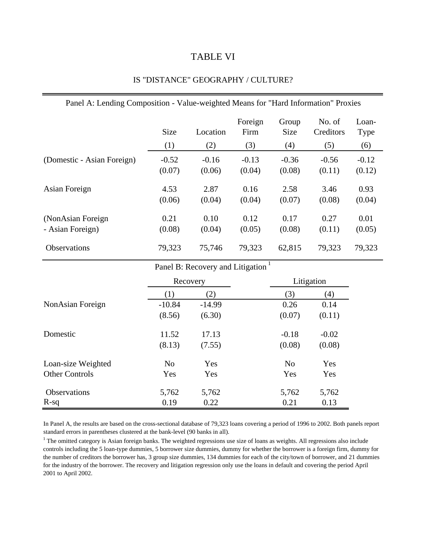### TABLE VI

| Panel A: Lending Composition - Value-weighted Means for "Hard Information" Proxies |                   |                   |                   |                      |                     |                   |  |  |
|------------------------------------------------------------------------------------|-------------------|-------------------|-------------------|----------------------|---------------------|-------------------|--|--|
|                                                                                    | <b>Size</b>       | Location          | Foreign<br>Firm   | Group<br><b>Size</b> | No. of<br>Creditors | Loan-<br>Type     |  |  |
|                                                                                    | (1)               | (2)               | (3)               | (4)                  | (5)                 | (6)               |  |  |
| (Domestic - Asian Foreign)                                                         | $-0.52$<br>(0.07) | $-0.16$<br>(0.06) | $-0.13$<br>(0.04) | $-0.36$<br>(0.08)    | $-0.56$<br>(0.11)   | $-0.12$<br>(0.12) |  |  |
| Asian Foreign                                                                      | 4.53<br>(0.06)    | 2.87<br>(0.04)    | 0.16<br>(0.04)    | 2.58<br>(0.07)       | 3.46<br>(0.08)      | 0.93<br>(0.04)    |  |  |
| (NonAsian Foreign<br>- Asian Foreign)                                              | 0.21<br>(0.08)    | 0.10<br>(0.04)    | 0.12<br>(0.05)    | 0.17<br>(0.08)       | 0.27<br>(0.11)      | 0.01<br>(0.05)    |  |  |
| <b>Observations</b>                                                                | 79,323            | 75,746            | 79,323            | 62,815               | 79,323              | 79,323            |  |  |

### IS "DISTANCE" GEOGRAPHY / CULTURE?

# Panel B: Recovery and Litigation<sup>1</sup>

|                       | Recovery       |          |                | Litigation |
|-----------------------|----------------|----------|----------------|------------|
|                       | (1)            | (2)      | (3)            | (4)        |
| NonAsian Foreign      | $-10.84$       | $-14.99$ | 0.26           | 0.14       |
|                       | (8.56)         | (6.30)   | (0.07)         | (0.11)     |
| Domestic              | 11.52          | 17.13    | $-0.18$        | $-0.02$    |
|                       | (8.13)         | (7.55)   | (0.08)         | (0.08)     |
| Loan-size Weighted    | N <sub>o</sub> | Yes      | N <sub>o</sub> | Yes        |
| <b>Other Controls</b> | Yes            | Yes      | Yes            | Yes        |
| <b>Observations</b>   | 5,762          | 5,762    | 5,762          | 5,762      |
| $R-sq$                | 0.19           | 0.22     | 0.21           | 0.13       |

In Panel A, the results are based on the cross-sectional database of 79,323 loans covering a period of 1996 to 2002. Both panels report standard errors in parentheses clustered at the bank-level (90 banks in all).

 $1$  The omitted category is Asian foreign banks. The weighted regressions use size of loans as weights. All regressions also include controls including the 5 loan-type dummies, 5 borrower size dummies, dummy for whether the borrower is a foreign firm, dummy for the number of creditors the borrower has, 3 group size dummies, 134 dummies for each of the city/town of borrower, and 21 dummies for the industry of the borrower. The recovery and litigation regression only use the loans in default and covering the period April 2001 to April 2002.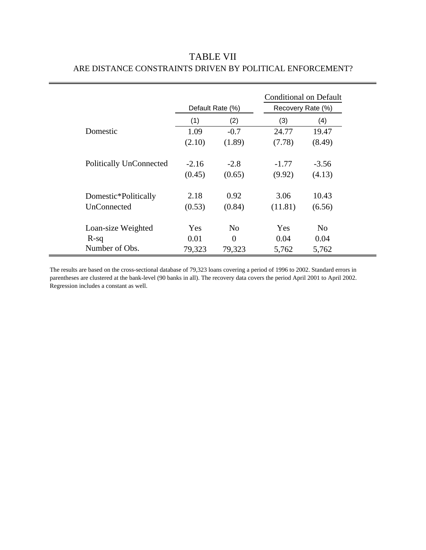|                         |         |                  | <b>Conditional on Default</b> |                   |
|-------------------------|---------|------------------|-------------------------------|-------------------|
|                         |         | Default Rate (%) |                               | Recovery Rate (%) |
|                         | (1)     | (2)              | (3)                           | (4)               |
| Domestic                | 1.09    | $-0.7$           | 24.77                         | 19.47             |
|                         | (2.10)  | (1.89)           | (7.78)                        | (8.49)            |
| Politically UnConnected | $-2.16$ | $-2.8$           | $-1.77$                       | $-3.56$           |
|                         | (0.45)  | (0.65)           | (9.92)                        | (4.13)            |
| Domestic*Politically    | 2.18    | 0.92             | 3.06                          | 10.43             |
| UnConnected             | (0.53)  | (0.84)           | (11.81)                       | (6.56)            |
| Loan-size Weighted      | Yes     | N <sub>0</sub>   | Yes                           | N <sub>0</sub>    |
| $R-sq$                  | 0.01    | $\theta$         | 0.04                          | 0.04              |
| Number of Obs.          | 79,323  | 79,323           | 5,762                         | 5,762             |

# TABLE VII ARE DISTANCE CONSTRAINTS DRIVEN BY POLITICAL ENFORCEMENT?

The results are based on the cross-sectional database of 79,323 loans covering a period of 1996 to 2002. Standard errors in parentheses are clustered at the bank-level (90 banks in all). The recovery data covers the period April 2001 to April 2002. Regression includes a constant as well.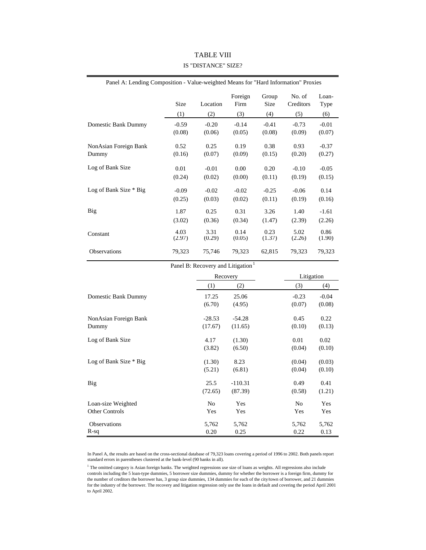| Panel A: Lending Composition - Value-weighted Means for "Hard Information" Proxies |             |                 |                        |                      |                            |                      |  |  |
|------------------------------------------------------------------------------------|-------------|-----------------|------------------------|----------------------|----------------------------|----------------------|--|--|
|                                                                                    | Size<br>(1) | Location<br>(2) | Foreign<br>Firm<br>(3) | Group<br>Size<br>(4) | No. of<br>Creditors<br>(5) | Loan-<br>Type<br>(6) |  |  |
| Domestic Bank Dummy                                                                | $-0.59$     | $-0.20$         | $-0.14$                | $-0.41$              | $-0.73$                    | $-0.01$              |  |  |
|                                                                                    | (0.08)      | (0.06)          | (0.05)                 | (0.08)               | (0.09)                     | (0.07)               |  |  |
| NonAsian Foreign Bank                                                              | 0.52        | 0.25            | 0.19                   | 0.38                 | 0.93                       | $-0.37$              |  |  |
| Dummy                                                                              | (0.16)      | (0.07)          | (0.09)                 | (0.15)               | (0.20)                     | (0.27)               |  |  |
| Log of Bank Size                                                                   | 0.01        | $-0.01$         | 0.00                   | 0.20                 | $-0.10$                    | $-0.05$              |  |  |
|                                                                                    | (0.24)      | (0.02)          | (0.00)                 | (0.11)               | (0.19)                     | (0.15)               |  |  |
| Log of Bank Size $*$ Big                                                           | $-0.09$     | $-0.02$         | $-0.02$                | $-0.25$              | $-0.06$                    | 0.14                 |  |  |
|                                                                                    | (0.25)      | (0.03)          | (0.02)                 | (0.11)               | (0.19)                     | (0.16)               |  |  |
| <b>Big</b>                                                                         | 1.87        | 0.25            | 0.31                   | 3.26                 | 1.40                       | $-1.61$              |  |  |
|                                                                                    | (3.02)      | (0.36)          | (0.34)                 | (1.47)               | (2.39)                     | (2.26)               |  |  |
| Constant                                                                           | 4.03        | 3.31            | 0.14                   | 0.23                 | 5.02                       | 0.86                 |  |  |
|                                                                                    | (2.97)      | (0.29)          | (0.05)                 | (1.37)               | (2.26)                     | (1.90)               |  |  |
| <b>Observations</b>                                                                | 79,323      | 75,746          | 79,323                 | 62,815               | 79,323                     | 79,323               |  |  |

### TABLE VIII IS "DISTANCE" SIZE?

### Panel B: Recovery and Litigation<sup>1</sup>

|                          |          | Recovery  | Litigation     |         |  |
|--------------------------|----------|-----------|----------------|---------|--|
|                          | (1)      | (2)       | (3)            | (4)     |  |
| Domestic Bank Dummy      | 17.25    | 25.06     | $-0.23$        | $-0.04$ |  |
|                          | (6.70)   | (4.95)    | (0.07)         | (0.08)  |  |
| NonAsian Foreign Bank    | $-28.53$ | $-54.28$  | 0.45           | 0.22    |  |
| Dummy                    | (17.67)  | (11.65)   | (0.10)         | (0.13)  |  |
| Log of Bank Size         | 4.17     | (1.30)    | 0.01           | 0.02    |  |
|                          | (3.82)   | (6.50)    | (0.04)         | (0.10)  |  |
| Log of Bank Size $*$ Big | (1.30)   | 8.23      | (0.04)         | (0.03)  |  |
|                          | (5.21)   | (6.81)    | (0.04)         | (0.10)  |  |
| <b>Big</b>               | 25.5     | $-110.31$ | 0.49           | 0.41    |  |
|                          | (72.65)  | (87.39)   | (0.58)         | (1.21)  |  |
| Loan-size Weighted       | No       | Yes       | N <sub>0</sub> | Yes     |  |
| <b>Other Controls</b>    | Yes      | Yes       | Yes            | Yes     |  |
| <b>Observations</b>      | 5,762    | 5,762     | 5,762          | 5,762   |  |
| $R-sq$                   | 0.20     | 0.25      | 0.22           | 0.13    |  |

In Panel A, the results are based on the cross-sectional database of 79,323 loans covering a period of 1996 to 2002. Both panels report standard errors in parentheses clustered at the bank-level (90 banks in all).

<sup>1</sup> The omitted category is Asian foreign banks. The weighted regressions use size of loans as weights. All regressions also include controls including the 5 loan-type dummies, 5 borrower size dummies, dummy for whether the borrower is a foreign firm, dummy for the number of creditors the borrower has, 3 group size dummies, 134 dummies for each of the city/town of borrower, and 21 dummies for the industry of the borrower. The recovery and litigation regression only use the loans in default and covering the period April 2001 to April 2002.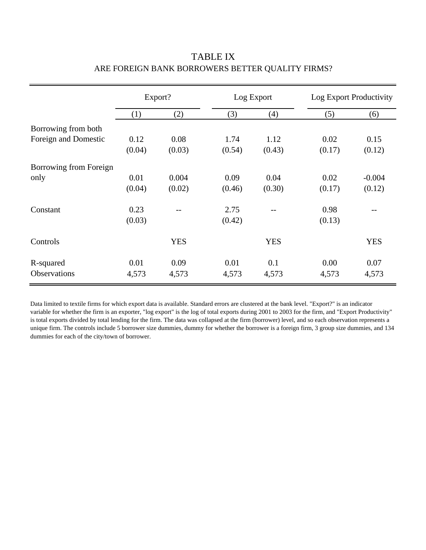|                        | Export? |            |        | Log Export |        | Log Export Productivity |  |
|------------------------|---------|------------|--------|------------|--------|-------------------------|--|
|                        | (1)     | (2)        | (3)    | (4)        | (5)    | (6)                     |  |
| Borrowing from both    |         |            |        |            |        |                         |  |
| Foreign and Domestic   | 0.12    | 0.08       | 1.74   | 1.12       | 0.02   | 0.15                    |  |
|                        | (0.04)  | (0.03)     | (0.54) | (0.43)     | (0.17) | (0.12)                  |  |
| Borrowing from Foreign |         |            |        |            |        |                         |  |
| only                   | 0.01    | 0.004      | 0.09   | 0.04       | 0.02   | $-0.004$                |  |
|                        | (0.04)  | (0.02)     | (0.46) | (0.30)     | (0.17) | (0.12)                  |  |
| Constant               | 0.23    | --         | 2.75   |            | 0.98   |                         |  |
|                        | (0.03)  |            | (0.42) |            | (0.13) |                         |  |
| Controls               |         | <b>YES</b> |        | <b>YES</b> |        | <b>YES</b>              |  |
| R-squared              | 0.01    | 0.09       | 0.01   | 0.1        | 0.00   | 0.07                    |  |
| <b>Observations</b>    | 4,573   | 4,573      | 4,573  | 4,573      | 4,573  | 4,573                   |  |

# TABLE IX ARE FOREIGN BANK BORROWERS BETTER QUALITY FIRMS?

Data limited to textile firms for which export data is available. Standard errors are clustered at the bank level. "Export?" is an indicator variable for whether the firm is an exporter, "log export" is the log of total exports during 2001 to 2003 for the firm, and "Export Productivity" is total exports divided by total lending for the firm. The data was collapsed at the firm (borrower) level, and so each observation represents a unique firm. The controls include 5 borrower size dummies, dummy for whether the borrower is a foreign firm, 3 group size dummies, and 134 dummies for each of the city/town of borrower.